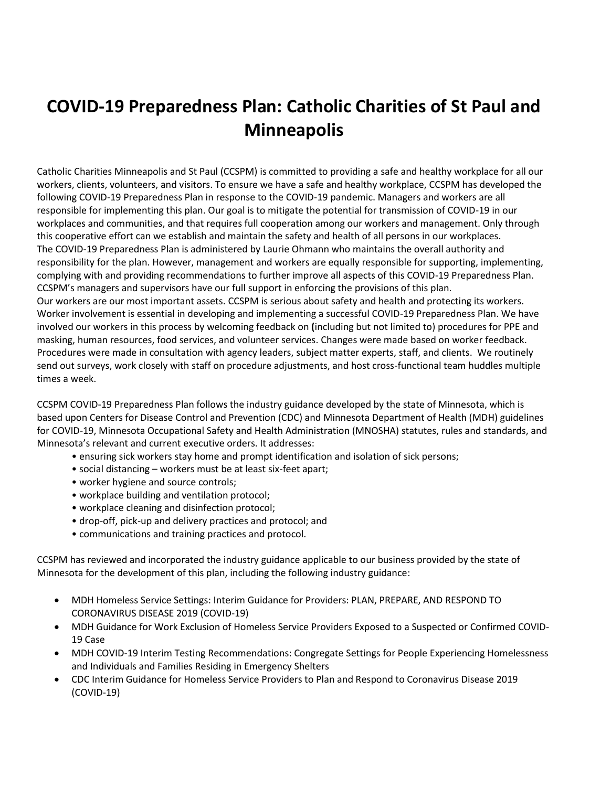# **COVID-19 Preparedness Plan: Catholic Charities of St Paul and Minneapolis**

Catholic Charities Minneapolis and St Paul (CCSPM) is committed to providing a safe and healthy workplace for all our workers, clients, volunteers, and visitors. To ensure we have a safe and healthy workplace, CCSPM has developed the following COVID-19 Preparedness Plan in response to the COVID-19 pandemic. Managers and workers are all responsible for implementing this plan. Our goal is to mitigate the potential for transmission of COVID-19 in our workplaces and communities, and that requires full cooperation among our workers and management. Only through this cooperative effort can we establish and maintain the safety and health of all persons in our workplaces. The COVID-19 Preparedness Plan is administered by Laurie Ohmann who maintains the overall authority and responsibility for the plan. However, management and workers are equally responsible for supporting, implementing, complying with and providing recommendations to further improve all aspects of this COVID-19 Preparedness Plan. CCSPM's managers and supervisors have our full support in enforcing the provisions of this plan. Our workers are our most important assets. CCSPM is serious about safety and health and protecting its workers. Worker involvement is essential in developing and implementing a successful COVID-19 Preparedness Plan. We have involved our workers in this process by welcoming feedback on **(**including but not limited to) procedures for PPE and masking, human resources, food services, and volunteer services. Changes were made based on worker feedback. Procedures were made in consultation with agency leaders, subject matter experts, staff, and clients. We routinely send out surveys, work closely with staff on procedure adjustments, and host cross-functional team huddles multiple

times a week.

CCSPM COVID-19 Preparedness Plan follows the industry guidance developed by the state of Minnesota, which is based upon Centers for Disease Control and Prevention (CDC) and Minnesota Department of Health (MDH) guidelines for COVID-19, Minnesota Occupational Safety and Health Administration (MNOSHA) statutes, rules and standards, and Minnesota's relevant and current executive orders. It addresses:

- ensuring sick workers stay home and prompt identification and isolation of sick persons;
- social distancing workers must be at least six-feet apart;
- worker hygiene and source controls;
- workplace building and ventilation protocol;
- workplace cleaning and disinfection protocol;
- drop-off, pick-up and delivery practices and protocol; and
- communications and training practices and protocol.

CCSPM has reviewed and incorporated the industry guidance applicable to our business provided by the state of Minnesota for the development of this plan, including the following industry guidance:

- MDH Homeless Service Settings: Interim Guidance for Providers: PLAN, PREPARE, AND RESPOND TO CORONAVIRUS DISEASE 2019 (COVID-19)
- [MDH Guidance for Work Exclusion of Homeless Service Providers Exposed to a Suspected or Confirmed COVID-](https://www.health.state.mn.us/diseases/coronavirus/homelessassess.pdf)[19 Case](https://www.health.state.mn.us/diseases/coronavirus/homelessassess.pdf)
- MDH COVID-19 Interim Testing Recommendations: Congregate Settings for People Experiencing Homelessness and Individuals and Families Residing in Emergency Shelters
- CDC Interim Guidance for Homeless Service Providers to Plan and Respond to Coronavirus Disease 2019 (COVID-19)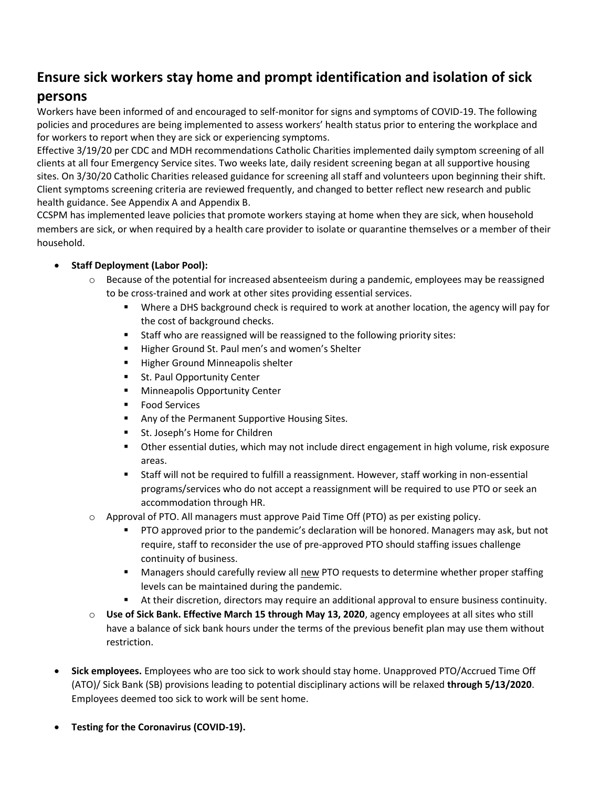## **Ensure sick workers stay home and prompt identification and isolation of sick**

## **persons**

Workers have been informed of and encouraged to self-monitor for signs and symptoms of COVID-19. The following policies and procedures are being implemented to assess workers' health status prior to entering the workplace and for workers to report when they are sick or experiencing symptoms.

Effective 3/19/20 per CDC and MDH recommendations Catholic Charities implemented daily symptom screening of all clients at all four Emergency Service sites. Two weeks late, daily resident screening began at all supportive housing sites. On 3/30/20 Catholic Charities released guidance for screening all staff and volunteers upon beginning their shift. Client symptoms screening criteria are reviewed frequently, and changed to better reflect new research and public health guidance. See Appendix A and Appendix B.

CCSPM has implemented leave policies that promote workers staying at home when they are sick, when household members are sick, or when required by a health care provider to isolate or quarantine themselves or a member of their household.

#### • **Staff Deployment (Labor Pool):**

- $\circ$  Because of the potential for increased absenteeism during a pandemic, employees may be reassigned to be cross-trained and work at other sites providing essential services.
	- Where a DHS background check is required to work at another location, the agency will pay for the cost of background checks.
	- Staff who are reassigned will be reassigned to the following priority sites:
	- Higher Ground St. Paul men's and women's Shelter
	- Higher Ground Minneapolis shelter
	- St. Paul Opportunity Center
	- **■** Minneapolis Opportunity Center
	- Food Services
	- Any of the Permanent Supportive Housing Sites.
	- St. Joseph's Home for Children
	- Other essential duties, which may not include direct engagement in high volume, risk exposure areas.
	- Staff will not be required to fulfill a reassignment. However, staff working in non-essential programs/services who do not accept a reassignment will be required to use PTO or seek an accommodation through HR.
- $\circ$  Approval of PTO. All managers must approve Paid Time Off (PTO) as per existing policy.
	- PTO approved prior to the pandemic's declaration will be honored. Managers may ask, but not require, staff to reconsider the use of pre-approved PTO should staffing issues challenge continuity of business.
	- Managers should carefully review all new PTO requests to determine whether proper staffing levels can be maintained during the pandemic.
	- At their discretion, directors may require an additional approval to ensure business continuity.
- o **Use of Sick Bank. Effective March 15 through May 13, 2020**, agency employees at all sites who still have a balance of sick bank hours under the terms of the previous benefit plan may use them without restriction.
- **Sick employees.** Employees who are too sick to work should stay home. Unapproved PTO/Accrued Time Off (ATO)/ Sick Bank (SB) provisions leading to potential disciplinary actions will be relaxed **through 5/13/2020**. Employees deemed too sick to work will be sent home.
- **Testing for the Coronavirus (COVID-19).**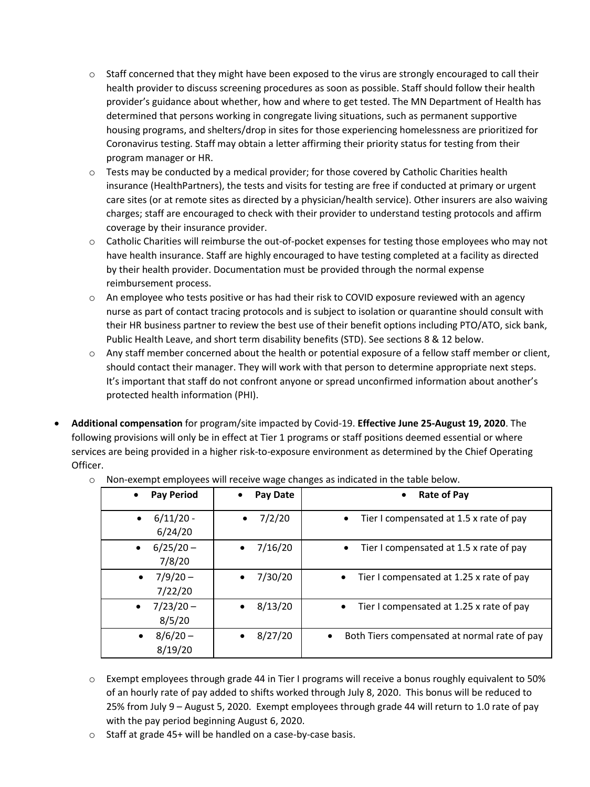- $\circ$  Staff concerned that they might have been exposed to the virus are strongly encouraged to call their health provider to discuss screening procedures as soon as possible. Staff should follow their health provider's guidance about whether, how and where to get tested. The MN Department of Health has determined that persons working in congregate living situations, such as permanent supportive housing programs, and shelters/drop in sites for those experiencing homelessness are prioritized for Coronavirus testing. Staff may obtain a letter affirming their priority status for testing from their program manager or HR.
- $\circ$  Tests may be conducted by a medical provider; for those covered by Catholic Charities health insurance (HealthPartners), the tests and visits for testing are free if conducted at primary or urgent care sites (or at remote sites as directed by a physician/health service). Other insurers are also waiving charges; staff are encouraged to check with their provider to understand testing protocols and affirm coverage by their insurance provider.
- o Catholic Charities will reimburse the out-of-pocket expenses for testing those employees who may not have health insurance. Staff are highly encouraged to have testing completed at a facility as directed by their health provider. Documentation must be provided through the normal expense reimbursement process.
- o An employee who tests positive or has had their risk to COVID exposure reviewed with an agency nurse as part of contact tracing protocols and is subject to isolation or quarantine should consult with their HR business partner to review the best use of their benefit options including PTO/ATO, sick bank, Public Health Leave, and short term disability benefits (STD). See sections 8 & 12 below.
- $\circ$  Any staff member concerned about the health or potential exposure of a fellow staff member or client, should contact their manager. They will work with that person to determine appropriate next steps. It's important that staff do not confront anyone or spread unconfirmed information about another's protected health information (PHI).
- **Additional compensation** for program/site impacted by Covid-19. **Effective June 25-August 19, 2020**. The following provisions will only be in effect at Tier 1 programs or staff positions deemed essential or where services are being provided in a higher risk-to-exposure environment as determined by the Chief Operating Officer.

| <b>Pay Period</b>                   | Pay Date             | <b>Rate of Pay</b>                                   |
|-------------------------------------|----------------------|------------------------------------------------------|
| $6/11/20 -$<br>$\bullet$<br>6/24/20 | 7/2/20<br>$\bullet$  | Tier I compensated at 1.5 x rate of pay<br>$\bullet$ |
| $6/25/20 -$<br>$\bullet$<br>7/8/20  | 7/16/20              | Tier I compensated at 1.5 x rate of pay<br>$\bullet$ |
| $7/9/20 -$<br>$\bullet$<br>7/22/20  | 7/30/20<br>$\bullet$ | Tier I compensated at 1.25 x rate of pay             |
| $7/23/20 -$<br>$\bullet$<br>8/5/20  | 8/13/20<br>$\bullet$ | Tier I compensated at 1.25 x rate of pay             |
| $8/6/20 -$<br>$\bullet$<br>8/19/20  | 8/27/20<br>$\bullet$ | Both Tiers compensated at normal rate of pay         |

 $\circ$  Non-exempt employees will receive wage changes as indicated in the table below.

- o Exempt employees through grade 44 in Tier I programs will receive a bonus roughly equivalent to 50% of an hourly rate of pay added to shifts worked through July 8, 2020. This bonus will be reduced to 25% from July 9 – August 5, 2020. Exempt employees through grade 44 will return to 1.0 rate of pay with the pay period beginning August 6, 2020.
- o Staff at grade 45+ will be handled on a case-by-case basis.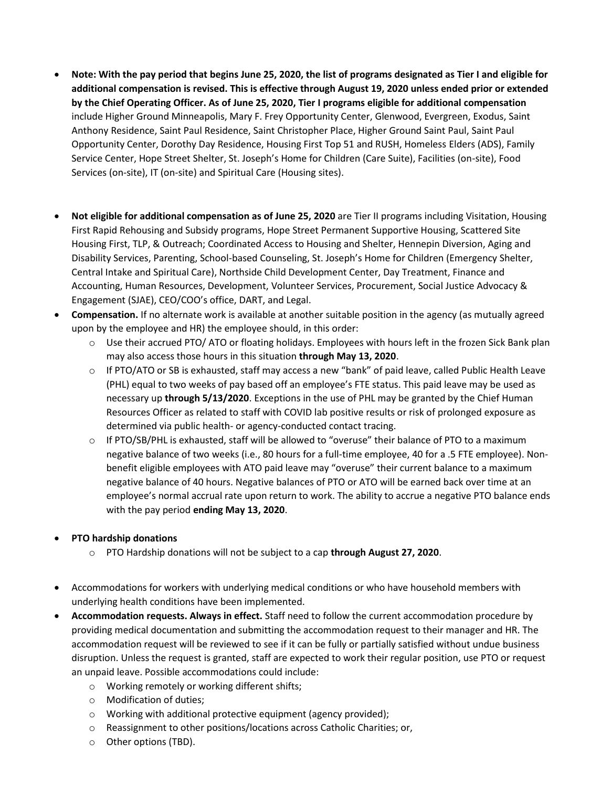- **Note: With the pay period that begins June 25, 2020, the list of programs designated as Tier I and eligible for additional compensation is revised. This is effective through August 19, 2020 unless ended prior or extended by the Chief Operating Officer. As of June 25, 2020, Tier I programs eligible for additional compensation** include Higher Ground Minneapolis, Mary F. Frey Opportunity Center, Glenwood, Evergreen, Exodus, Saint Anthony Residence, Saint Paul Residence, Saint Christopher Place, Higher Ground Saint Paul, Saint Paul Opportunity Center, Dorothy Day Residence, Housing First Top 51 and RUSH, Homeless Elders (ADS), Family Service Center, Hope Street Shelter, St. Joseph's Home for Children (Care Suite), Facilities (on-site), Food Services (on-site), IT (on-site) and Spiritual Care (Housing sites).
- **Not eligible for additional compensation as of June 25, 2020** are Tier II programs including Visitation, Housing First Rapid Rehousing and Subsidy programs, Hope Street Permanent Supportive Housing, Scattered Site Housing First, TLP, & Outreach; Coordinated Access to Housing and Shelter, Hennepin Diversion, Aging and Disability Services, Parenting, School-based Counseling, St. Joseph's Home for Children (Emergency Shelter, Central Intake and Spiritual Care), Northside Child Development Center, Day Treatment, Finance and Accounting, Human Resources, Development, Volunteer Services, Procurement, Social Justice Advocacy & Engagement (SJAE), CEO/COO's office, DART, and Legal.
- **Compensation.** If no alternate work is available at another suitable position in the agency (as mutually agreed upon by the employee and HR) the employee should, in this order:
	- o Use their accrued PTO/ ATO or floating holidays. Employees with hours left in the frozen Sick Bank plan may also access those hours in this situation **through May 13, 2020**.
	- o If PTO/ATO or SB is exhausted, staff may access a new "bank" of paid leave, called Public Health Leave (PHL) equal to two weeks of pay based off an employee's FTE status. This paid leave may be used as necessary up **through 5/13/2020**. Exceptions in the use of PHL may be granted by the Chief Human Resources Officer as related to staff with COVID lab positive results or risk of prolonged exposure as determined via public health- or agency-conducted contact tracing.
	- $\circ$  If PTO/SB/PHL is exhausted, staff will be allowed to "overuse" their balance of PTO to a maximum negative balance of two weeks (i.e., 80 hours for a full-time employee, 40 for a .5 FTE employee). Nonbenefit eligible employees with ATO paid leave may "overuse" their current balance to a maximum negative balance of 40 hours. Negative balances of PTO or ATO will be earned back over time at an employee's normal accrual rate upon return to work. The ability to accrue a negative PTO balance ends with the pay period **ending May 13, 2020**.
- **PTO hardship donations**
	- o PTO Hardship donations will not be subject to a cap **through August 27, 2020**.
- Accommodations for workers with underlying medical conditions or who have household members with underlying health conditions have been implemented.
- **Accommodation requests. Always in effect.** Staff need to follow the current accommodation procedure by providing medical documentation and submitting the accommodation request to their manager and HR. The accommodation request will be reviewed to see if it can be fully or partially satisfied without undue business disruption. Unless the request is granted, staff are expected to work their regular position, use PTO or request an unpaid leave. Possible accommodations could include:
	- o Working remotely or working different shifts;
	- o Modification of duties;
	- o Working with additional protective equipment (agency provided);
	- o Reassignment to other positions/locations across Catholic Charities; or,
	- o Other options (TBD).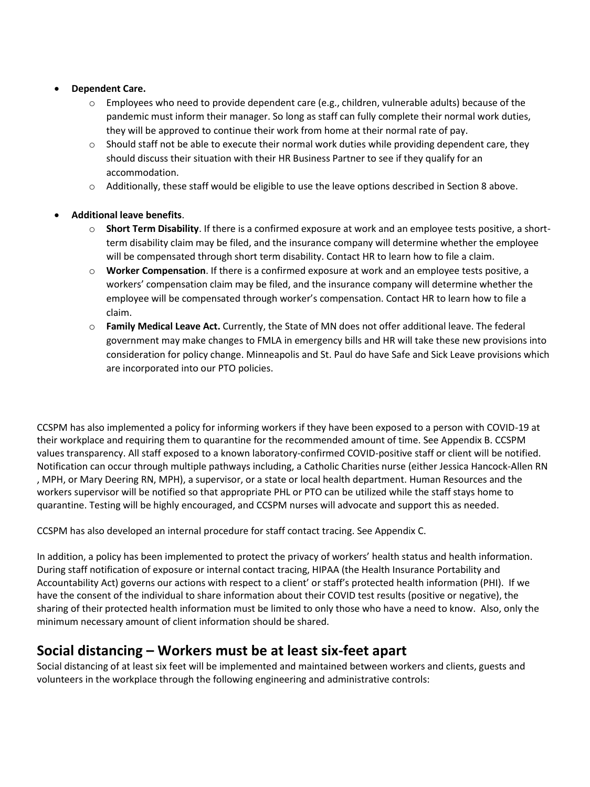#### • **Dependent Care.**

- $\circ$  Employees who need to provide dependent care (e.g., children, vulnerable adults) because of the pandemic must inform their manager. So long as staff can fully complete their normal work duties, they will be approved to continue their work from home at their normal rate of pay.
- $\circ$  Should staff not be able to execute their normal work duties while providing dependent care, they should discuss their situation with their HR Business Partner to see if they qualify for an accommodation.
- o Additionally, these staff would be eligible to use the leave options described in Section 8 above.

#### • **Additional leave benefits**.

- o **Short Term Disability**. If there is a confirmed exposure at work and an employee tests positive, a shortterm disability claim may be filed, and the insurance company will determine whether the employee will be compensated through short term disability. Contact HR to learn how to file a claim.
- o **Worker Compensation**. If there is a confirmed exposure at work and an employee tests positive, a workers' compensation claim may be filed, and the insurance company will determine whether the employee will be compensated through worker's compensation. Contact HR to learn how to file a claim.
- o **Family Medical Leave Act.** Currently, the State of MN does not offer additional leave. The federal government may make changes to FMLA in emergency bills and HR will take these new provisions into consideration for policy change. Minneapolis and St. Paul do have Safe and Sick Leave provisions which are incorporated into our PTO policies.

CCSPM has also implemented a policy for informing workers if they have been exposed to a person with COVID-19 at their workplace and requiring them to quarantine for the recommended amount of time. See Appendix B. CCSPM values transparency. All staff exposed to a known laboratory-confirmed COVID-positive staff or client will be notified. Notification can occur through multiple pathways including, a Catholic Charities nurse (either Jessica Hancock-Allen RN , MPH, or Mary Deering RN, MPH), a supervisor, or a state or local health department. Human Resources and the workers supervisor will be notified so that appropriate PHL or PTO can be utilized while the staff stays home to quarantine. Testing will be highly encouraged, and CCSPM nurses will advocate and support this as needed.

CCSPM has also developed an internal procedure for staff contact tracing. See Appendix C.

In addition, a policy has been implemented to protect the privacy of workers' health status and health information. During staff notification of exposure or internal contact tracing, HIPAA (the Health Insurance Portability and Accountability Act) governs our actions with respect to a client' or staff's protected health information (PHI). If we have the consent of the individual to share information about their COVID test results (positive or negative), the sharing of their protected health information must be limited to only those who have a need to know. Also, only the minimum necessary amount of client information should be shared.

## **Social distancing – Workers must be at least six-feet apart**

Social distancing of at least six feet will be implemented and maintained between workers and clients, guests and volunteers in the workplace through the following engineering and administrative controls: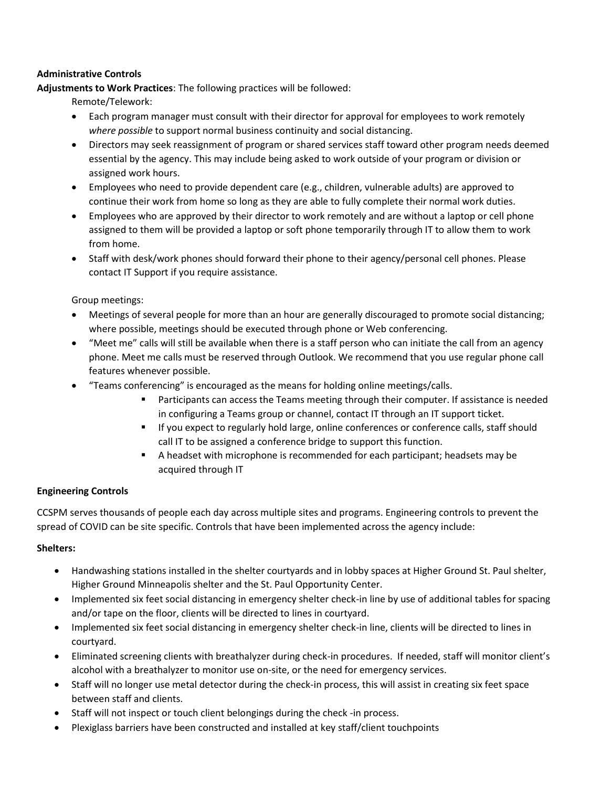#### **Administrative Controls**

**Adjustments to Work Practices**: The following practices will be followed:

Remote/Telework:

- Each program manager must consult with their director for approval for employees to work remotely *where possible* to support normal business continuity and social distancing.
- Directors may seek reassignment of program or shared services staff toward other program needs deemed essential by the agency. This may include being asked to work outside of your program or division or assigned work hours.
- Employees who need to provide dependent care (e.g., children, vulnerable adults) are approved to continue their work from home so long as they are able to fully complete their normal work duties.
- Employees who are approved by their director to work remotely and are without a laptop or cell phone assigned to them will be provided a laptop or soft phone temporarily through IT to allow them to work from home.
- Staff with desk/work phones should forward their phone to their agency/personal cell phones. Please contact IT Support if you require assistance.

Group meetings:

- Meetings of several people for more than an hour are generally discouraged to promote social distancing; where possible, meetings should be executed through phone or Web conferencing.
- "Meet me" calls will still be available when there is a staff person who can initiate the call from an agency phone. Meet me calls must be reserved through Outlook. We recommend that you use regular phone call features whenever possible.
- "Teams conferencing" is encouraged as the means for holding online meetings/calls.
	- Participants can access the Teams meeting through their computer. If assistance is needed in configuring a Teams group or channel, contact IT through an IT support ticket.
	- If you expect to regularly hold large, online conferences or conference calls, staff should call IT to be assigned a conference bridge to support this function.
	- A headset with microphone is recommended for each participant; headsets may be acquired through IT

#### **Engineering Controls**

CCSPM serves thousands of people each day across multiple sites and programs. Engineering controls to prevent the spread of COVID can be site specific. Controls that have been implemented across the agency include:

#### **Shelters:**

- Handwashing stations installed in the shelter courtyards and in lobby spaces at Higher Ground St. Paul shelter, Higher Ground Minneapolis shelter and the St. Paul Opportunity Center.
- Implemented six feet social distancing in emergency shelter check-in line by use of additional tables for spacing and/or tape on the floor, clients will be directed to lines in courtyard.
- Implemented six feet social distancing in emergency shelter check-in line, clients will be directed to lines in courtyard.
- Eliminated screening clients with breathalyzer during check-in procedures. If needed, staff will monitor client's alcohol with a breathalyzer to monitor use on-site, or the need for emergency services.
- Staff will no longer use metal detector during the check-in process, this will assist in creating six feet space between staff and clients.
- Staff will not inspect or touch client belongings during the check -in process.
- Plexiglass barriers have been constructed and installed at key staff/client touchpoints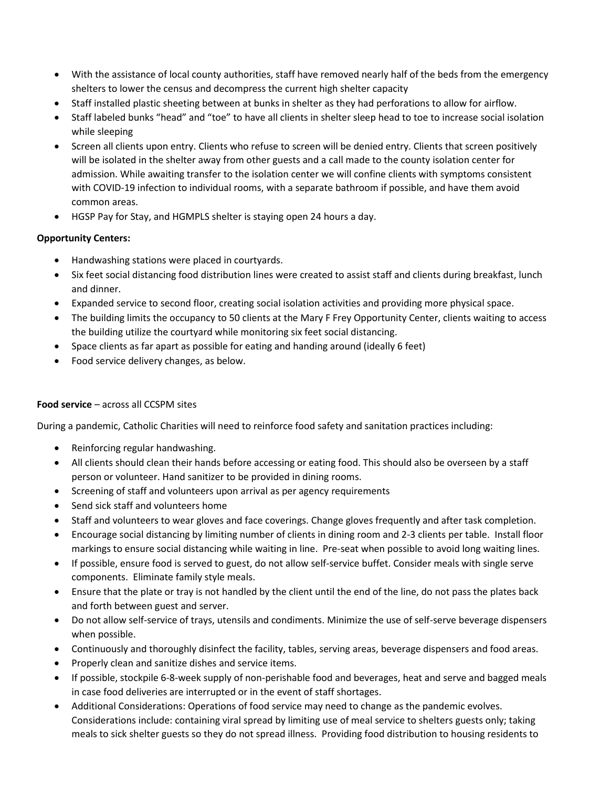- With the assistance of local county authorities, staff have removed nearly half of the beds from the emergency shelters to lower the census and decompress the current high shelter capacity
- Staff installed plastic sheeting between at bunks in shelter as they had perforations to allow for airflow.
- Staff labeled bunks "head" and "toe" to have all clients in shelter sleep head to toe to increase social isolation while sleeping
- Screen all clients upon entry. Clients who refuse to screen will be denied entry. Clients that screen positively will be isolated in the shelter away from other guests and a call made to the county isolation center for admission. While awaiting transfer to the isolation center we will confine clients with symptoms consistent with COVID-19 infection to individual rooms, with a separate bathroom if possible, and have them avoid common areas.
- HGSP Pay for Stay, and HGMPLS shelter is staying open 24 hours a day.

#### **Opportunity Centers:**

- Handwashing stations were placed in courtyards.
- Six feet social distancing food distribution lines were created to assist staff and clients during breakfast, lunch and dinner.
- Expanded service to second floor, creating social isolation activities and providing more physical space.
- The building limits the occupancy to 50 clients at the Mary F Frey Opportunity Center, clients waiting to access the building utilize the courtyard while monitoring six feet social distancing.
- Space clients as far apart as possible for eating and handing around (ideally 6 feet)
- Food service delivery changes, as below.

#### **Food service** – across all CCSPM sites

During a pandemic, Catholic Charities will need to reinforce food safety and sanitation practices including:

- Reinforcing regular handwashing.
- All clients should clean their hands before accessing or eating food. This should also be overseen by a staff person or volunteer. Hand sanitizer to be provided in dining rooms.
- Screening of staff and volunteers upon arrival as per agency requirements
- Send sick staff and volunteers home
- Staff and volunteers to wear gloves and face coverings. Change gloves frequently and after task completion.
- Encourage social distancing by limiting number of clients in dining room and 2-3 clients per table. Install floor markings to ensure social distancing while waiting in line. Pre-seat when possible to avoid long waiting lines.
- If possible, ensure food is served to guest, do not allow self-service buffet. Consider meals with single serve components. Eliminate family style meals.
- Ensure that the plate or tray is not handled by the client until the end of the line, do not pass the plates back and forth between guest and server.
- Do not allow self-service of trays, utensils and condiments. Minimize the use of self-serve beverage dispensers when possible.
- Continuously and thoroughly disinfect the facility, tables, serving areas, beverage dispensers and food areas.
- Properly clean and sanitize dishes and service items.
- If possible, stockpile 6-8-week supply of non-perishable food and beverages, heat and serve and bagged meals in case food deliveries are interrupted or in the event of staff shortages.
- Additional Considerations: Operations of food service may need to change as the pandemic evolves. Considerations include: containing viral spread by limiting use of meal service to shelters guests only; taking meals to sick shelter guests so they do not spread illness. Providing food distribution to housing residents to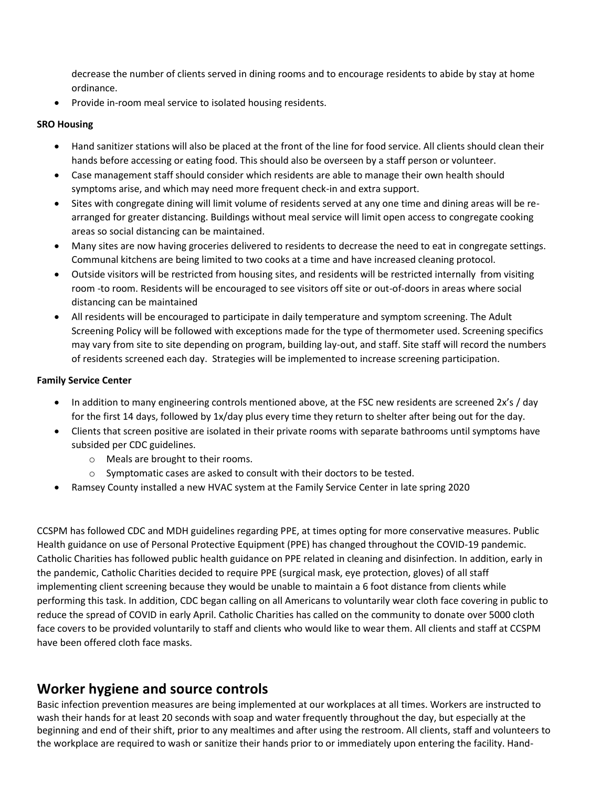decrease the number of clients served in dining rooms and to encourage residents to abide by stay at home ordinance.

• Provide in-room meal service to isolated housing residents.

#### **SRO Housing**

- Hand sanitizer stations will also be placed at the front of the line for food service. All clients should clean their hands before accessing or eating food. This should also be overseen by a staff person or volunteer.
- Case management staff should consider which residents are able to manage their own health should symptoms arise, and which may need more frequent check-in and extra support.
- Sites with congregate dining will limit volume of residents served at any one time and dining areas will be rearranged for greater distancing. Buildings without meal service will limit open access to congregate cooking areas so social distancing can be maintained.
- Many sites are now having groceries delivered to residents to decrease the need to eat in congregate settings. Communal kitchens are being limited to two cooks at a time and have increased cleaning protocol.
- Outside visitors will be restricted from housing sites, and residents will be restricted internally from visiting room -to room. Residents will be encouraged to see visitors off site or out-of-doors in areas where social distancing can be maintained
- All residents will be encouraged to participate in daily temperature and symptom screening. The Adult Screening Policy will be followed with exceptions made for the type of thermometer used. Screening specifics may vary from site to site depending on program, building lay-out, and staff. Site staff will record the numbers of residents screened each day. Strategies will be implemented to increase screening participation.

#### **Family Service Center**

- In addition to many engineering controls mentioned above, at the FSC new residents are screened 2x's / day for the first 14 days, followed by 1x/day plus every time they return to shelter after being out for the day.
- Clients that screen positive are isolated in their private rooms with separate bathrooms until symptoms have subsided per CDC guidelines.
	- o Meals are brought to their rooms.
	- o Symptomatic cases are asked to consult with their doctors to be tested.
- Ramsey County installed a new HVAC system at the Family Service Center in late spring 2020

CCSPM has followed CDC and MDH guidelines regarding PPE, at times opting for more conservative measures. Public Health guidance on use of Personal Protective Equipment (PPE) has changed throughout the COVID-19 pandemic. Catholic Charities has followed public health guidance on PPE related in cleaning and disinfection. In addition, early in the pandemic, Catholic Charities decided to require PPE (surgical mask, eye protection, gloves) of all staff implementing client screening because they would be unable to maintain a 6 foot distance from clients while performing this task. In addition, CDC began calling on all Americans to voluntarily wear cloth face covering in public to reduce the spread of COVID in early April. Catholic Charities has called on the community to donate over 5000 cloth face covers to be provided voluntarily to staff and clients who would like to wear them. All clients and staff at CCSPM have been offered cloth face masks.

## **Worker hygiene and source controls**

Basic infection prevention measures are being implemented at our workplaces at all times. Workers are instructed to wash their hands for at least 20 seconds with soap and water frequently throughout the day, but especially at the beginning and end of their shift, prior to any mealtimes and after using the restroom. All clients, staff and volunteers to the workplace are required to wash or sanitize their hands prior to or immediately upon entering the facility. Hand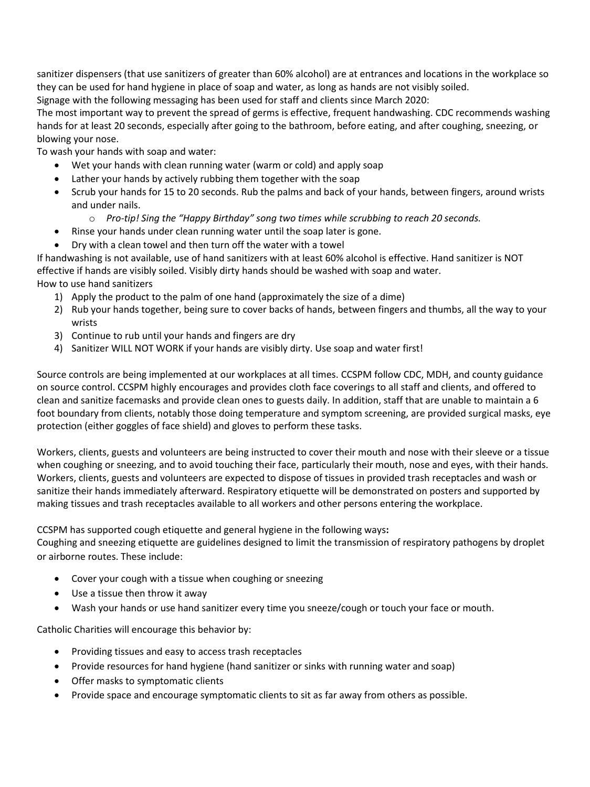sanitizer dispensers (that use sanitizers of greater than 60% alcohol) are at entrances and locations in the workplace so they can be used for hand hygiene in place of soap and water, as long as hands are not visibly soiled.

Signage with the following messaging has been used for staff and clients since March 2020:

The most important way to prevent the spread of germs is effective, frequent handwashing. CDC recommends washing hands for at least 20 seconds, especially after going to the bathroom, before eating, and after coughing, sneezing, or blowing your nose.

To wash your hands with soap and water:

- Wet your hands with clean running water (warm or cold) and apply soap
- Lather your hands by actively rubbing them together with the soap
- Scrub your hands for 15 to 20 seconds. Rub the palms and back of your hands, between fingers, around wrists and under nails.
	- o *Pro-tip! Sing the "Happy Birthday" song two times while scrubbing to reach 20 seconds.*
- Rinse your hands under clean running water until the soap later is gone.
- Dry with a clean towel and then turn off the water with a towel

If handwashing is not available, use of hand sanitizers with at least 60% alcohol is effective. Hand sanitizer is NOT effective if hands are visibly soiled. Visibly dirty hands should be washed with soap and water. How to use hand sanitizers

- 1) Apply the product to the palm of one hand (approximately the size of a dime)
- 2) Rub your hands together, being sure to cover backs of hands, between fingers and thumbs, all the way to your wrists
- 3) Continue to rub until your hands and fingers are dry
- 4) Sanitizer WILL NOT WORK if your hands are visibly dirty. Use soap and water first!

Source controls are being implemented at our workplaces at all times. CCSPM follow CDC, MDH, and county guidance on source control. CCSPM highly encourages and provides cloth face coverings to all staff and clients, and offered to clean and sanitize facemasks and provide clean ones to guests daily. In addition, staff that are unable to maintain a 6 foot boundary from clients, notably those doing temperature and symptom screening, are provided surgical masks, eye protection (either goggles of face shield) and gloves to perform these tasks.

Workers, clients, guests and volunteers are being instructed to cover their mouth and nose with their sleeve or a tissue when coughing or sneezing, and to avoid touching their face, particularly their mouth, nose and eyes, with their hands. Workers, clients, guests and volunteers are expected to dispose of tissues in provided trash receptacles and wash or sanitize their hands immediately afterward. Respiratory etiquette will be demonstrated on posters and supported by making tissues and trash receptacles available to all workers and other persons entering the workplace.

CCSPM has supported cough etiquette and general hygiene in the following ways**:**

Coughing and sneezing etiquette are guidelines designed to limit the transmission of respiratory pathogens by droplet or airborne routes. These include:

- Cover your cough with a tissue when coughing or sneezing
- Use a tissue then throw it away
- Wash your hands or use hand sanitizer every time you sneeze/cough or touch your face or mouth.

Catholic Charities will encourage this behavior by:

- Providing tissues and easy to access trash receptacles
- Provide resources for hand hygiene (hand sanitizer or sinks with running water and soap)
- Offer masks to symptomatic clients
- Provide space and encourage symptomatic clients to sit as far away from others as possible.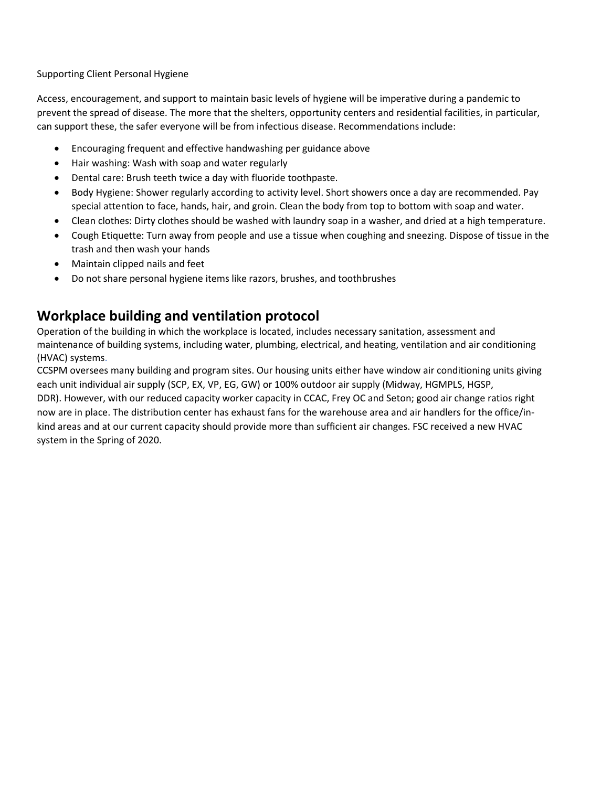Supporting Client Personal Hygiene

Access, encouragement, and support to maintain basic levels of hygiene will be imperative during a pandemic to prevent the spread of disease. The more that the shelters, opportunity centers and residential facilities, in particular, can support these, the safer everyone will be from infectious disease. Recommendations include:

- Encouraging frequent and effective handwashing per guidance above
- Hair washing: Wash with soap and water regularly
- Dental care: Brush teeth twice a day with fluoride toothpaste.
- Body Hygiene: Shower regularly according to activity level. Short showers once a day are recommended. Pay special attention to face, hands, hair, and groin. Clean the body from top to bottom with soap and water.
- Clean clothes: Dirty clothes should be washed with laundry soap in a washer, and dried at a high temperature.
- Cough Etiquette: Turn away from people and use a tissue when coughing and sneezing. Dispose of tissue in the trash and then wash your hands
- Maintain clipped nails and feet
- Do not share personal hygiene items like razors, brushes, and toothbrushes

## **Workplace building and ventilation protocol**

Operation of the building in which the workplace is located, includes necessary sanitation, assessment and maintenance of building systems, including water, plumbing, electrical, and heating, ventilation and air conditioning (HVAC) systems.

CCSPM oversees many building and program sites. Our housing units either have window air conditioning units giving each unit individual air supply (SCP, EX, VP, EG, GW) or 100% outdoor air supply (Midway, HGMPLS, HGSP, DDR). However, with our reduced capacity worker capacity in CCAC, Frey OC and Seton; good air change ratios right now are in place. The distribution center has exhaust fans for the warehouse area and air handlers for the office/inkind areas and at our current capacity should provide more than sufficient air changes. FSC received a new HVAC system in the Spring of 2020.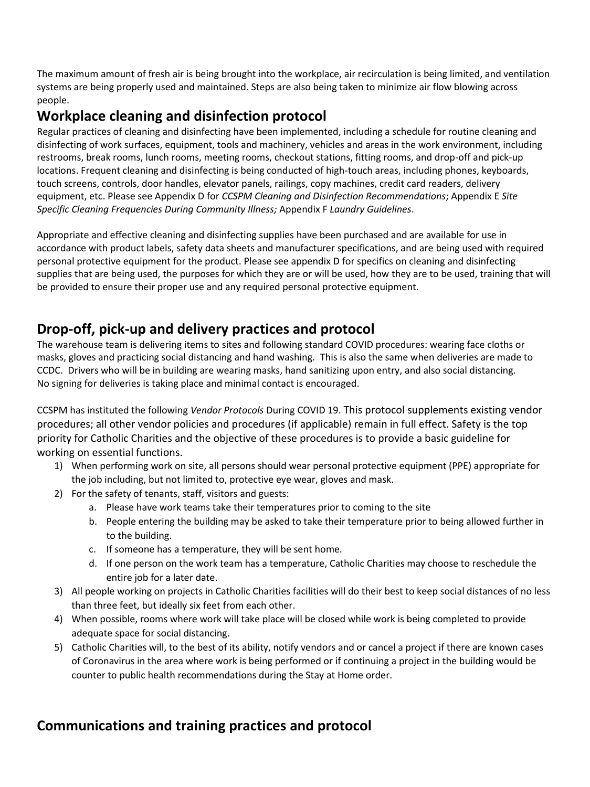The maximum amount of fresh air is being brought into the workplace, air recirculation is being limited, and ventilation systems are being properly used and maintained. Steps are also being taken to minimize air flow blowing across people.

## **Workplace cleaning and disinfection protocol**

Regular practices of cleaning and disinfecting have been implemented, including a schedule for routine cleaning and disinfecting of work surfaces, equipment, tools and machinery, vehicles and areas in the work environment, including restrooms, break rooms, lunch rooms, meeting rooms, checkout stations, fitting rooms, and drop-off and pick-up locations. Frequent cleaning and disinfecting is being conducted of high-touch areas, including phones, keyboards, touch screens, controls, door handles, elevator panels, railings, copy machines, credit card readers, delivery equipment, etc. Please see Appendix D for *CCSPM Cleaning and Disinfection Recommendations*; Appendix E *Site Specific Cleaning Frequencies During Community Illness;* Appendix F *Laundry Guidelines*.

Appropriate and effective cleaning and disinfecting supplies have been purchased and are available for use in accordance with product labels, safety data sheets and manufacturer specifications, and are being used with required personal protective equipment for the product. Please see appendix D for specifics on cleaning and disinfecting supplies that are being used, the purposes for which they are or will be used, how they are to be used, training that will be provided to ensure their proper use and any required personal protective equipment.

## **Drop-off, pick-up and delivery practices and protocol**

The warehouse team is delivering items to sites and following standard COVID procedures: wearing face cloths or masks, gloves and practicing social distancing and hand washing. This is also the same when deliveries are made to CCDC. Drivers who will be in building are wearing masks, hand sanitizing upon entry, and also social distancing. No signing for deliveries is taking place and minimal contact is encouraged.

CCSPM has instituted the following *Vendor Protocols* During COVID 19. This protocol supplements existing vendor procedures; all other vendor policies and procedures (if applicable) remain in full effect. Safety is the top priority for Catholic Charities and the objective of these procedures is to provide a basic guideline for working on essential functions.

- 1) When performing work on site, all persons should wear personal protective equipment (PPE) appropriate for the job including, but not limited to, protective eye wear, gloves and mask.
- 2) For the safety of tenants, staff, visitors and guests:
	- a. Please have work teams take their temperatures prior to coming to the site
	- b. People entering the building may be asked to take their temperature prior to being allowed further in to the building.
	- c. If someone has a temperature, they will be sent home.
	- d. If one person on the work team has a temperature, Catholic Charities may choose to reschedule the entire job for a later date.
- 3) All people working on projects in Catholic Charities facilities will do their best to keep social distances of no less than three feet, but ideally six feet from each other.
- 4) When possible, rooms where work will take place will be closed while work is being completed to provide adequate space for social distancing.
- 5) Catholic Charities will, to the best of its ability, notify vendors and or cancel a project if there are known cases of Coronavirus in the area where work is being performed or if continuing a project in the building would be counter to public health recommendations during the Stay at Home order.

## **Communications and training practices and protocol**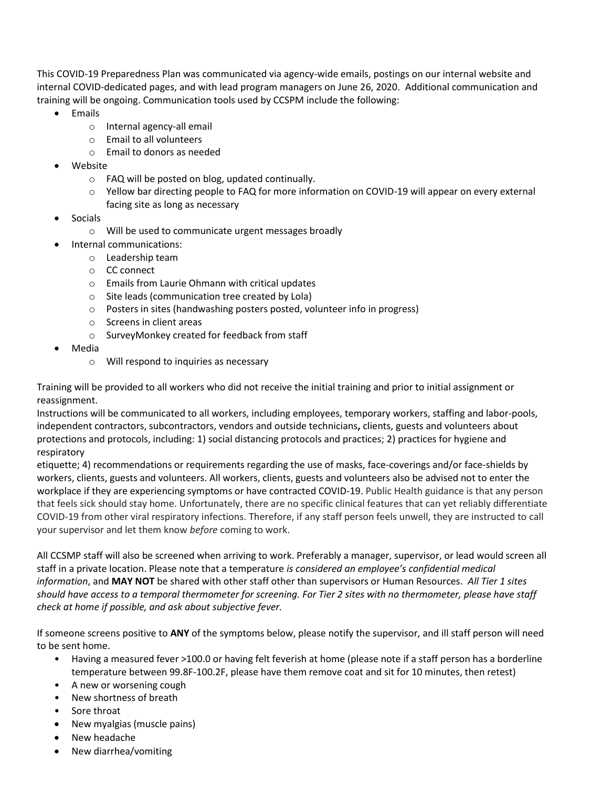This COVID-19 Preparedness Plan was communicated via agency-wide emails, postings on our internal website and internal COVID-dedicated pages, and with lead program managers on June 26, 2020. Additional communication and training will be ongoing. Communication tools used by CCSPM include the following:

- Emails
	- o Internal agency-all email
	- o Email to all volunteers
	- o Email to donors as needed
- Website
	- o FAQ will be posted on blog, updated continually.
	- o Yellow bar directing people to FAQ for more information on COVID-19 will appear on every external facing site as long as necessary
- Socials
	- o Will be used to communicate urgent messages broadly
- Internal communications:
	- o Leadership team
	- o CC connect
	- o Emails from Laurie Ohmann with critical updates
	- o Site leads (communication tree created by Lola)
	- o Posters in sites (handwashing posters posted, volunteer info in progress)
	- o Screens in client areas
	- o SurveyMonkey created for feedback from staff
- Media
	- o Will respond to inquiries as necessary

Training will be provided to all workers who did not receive the initial training and prior to initial assignment or reassignment.

Instructions will be communicated to all workers, including employees, temporary workers, staffing and labor-pools, independent contractors, subcontractors, vendors and outside technicians**,** clients, guests and volunteers about protections and protocols, including: 1) social distancing protocols and practices; 2) practices for hygiene and respiratory

etiquette; 4) recommendations or requirements regarding the use of masks, face-coverings and/or face-shields by workers, clients, guests and volunteers. All workers, clients, guests and volunteers also be advised not to enter the workplace if they are experiencing symptoms or have contracted COVID-19. Public Health guidance is that any person that feels sick should stay home. Unfortunately, there are no specific clinical features that can yet reliably differentiate COVID-19 from other viral respiratory infections. Therefore, if any staff person feels unwell, they are instructed to call your supervisor and let them know *before* coming to work.

All CCSMP staff will also be screened when arriving to work. Preferably a manager, supervisor, or lead would screen all staff in a private location. Please note that a temperature *is considered an employee's confidential medical information*, and **MAY NOT** be shared with other staff other than supervisors or Human Resources. *All Tier 1 sites should have access to a temporal thermometer for screening. For Tier 2 sites with no thermometer, please have staff check at home if possible, and ask about subjective fever.*

If someone screens positive to **ANY** of the symptoms below, please notify the supervisor, and ill staff person will need to be sent home.

- Having a measured fever >100.0 or having felt feverish at home (please note if a staff person has a borderline temperature between 99.8F-100.2F, please have them remove coat and sit for 10 minutes, then retest)
- A new or worsening cough
- New shortness of breath
- Sore throat
- New myalgias (muscle pains)
- New headache
- New diarrhea/vomiting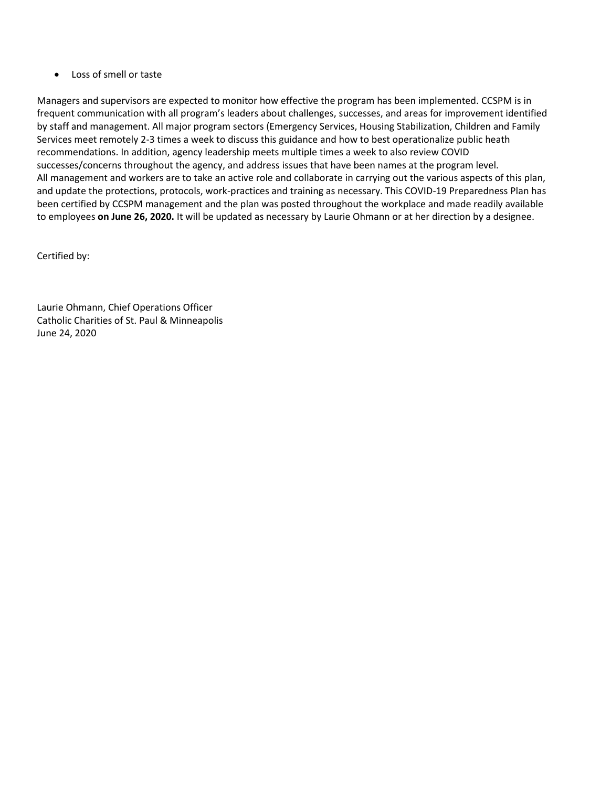• Loss of smell or taste

Managers and supervisors are expected to monitor how effective the program has been implemented. CCSPM is in frequent communication with all program's leaders about challenges, successes, and areas for improvement identified by staff and management. All major program sectors (Emergency Services, Housing Stabilization, Children and Family Services meet remotely 2-3 times a week to discuss this guidance and how to best operationalize public heath recommendations. In addition, agency leadership meets multiple times a week to also review COVID successes/concerns throughout the agency, and address issues that have been names at the program level. All management and workers are to take an active role and collaborate in carrying out the various aspects of this plan, and update the protections, protocols, work-practices and training as necessary. This COVID-19 Preparedness Plan has been certified by CCSPM management and the plan was posted throughout the workplace and made readily available to employees **on June 26, 2020.** It will be updated as necessary by Laurie Ohmann or at her direction by a designee.

Certified by:

Laurie Ohmann, Chief Operations Officer Catholic Charities of St. Paul & Minneapolis June 24, 2020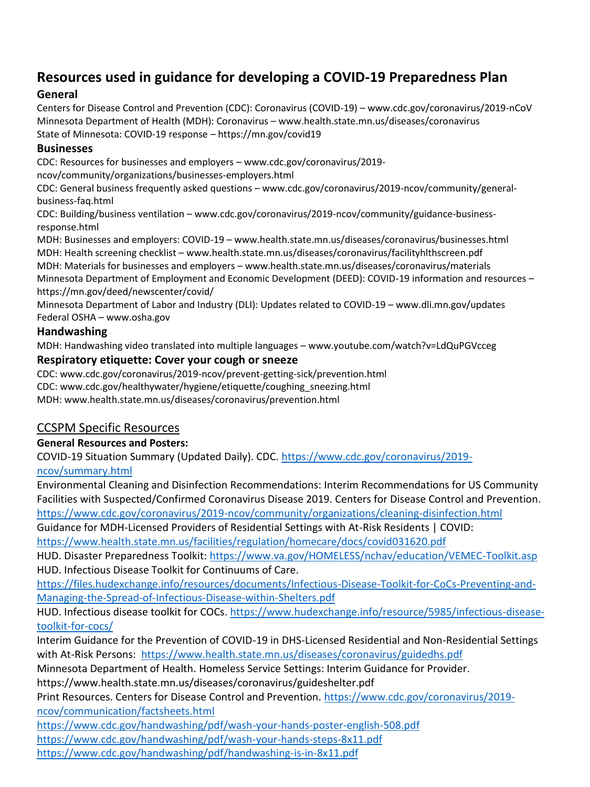## **Resources used in guidance for developing a COVID-19 Preparedness Plan**

## **General**

Centers for Disease Control and Prevention (CDC): Coronavirus (COVID-19) – www.cdc.gov/coronavirus/2019-nCoV Minnesota Department of Health (MDH): Coronavirus – www.health.state.mn.us/diseases/coronavirus State of Minnesota: COVID-19 response – https://mn.gov/covid19

## **Businesses**

CDC: Resources for businesses and employers – www.cdc.gov/coronavirus/2019-

ncov/community/organizations/businesses-employers.html

CDC: General business frequently asked questions – www.cdc.gov/coronavirus/2019-ncov/community/generalbusiness-faq.html

CDC: Building/business ventilation – www.cdc.gov/coronavirus/2019-ncov/community/guidance-businessresponse.html

MDH: Businesses and employers: COVID-19 – www.health.state.mn.us/diseases/coronavirus/businesses.html MDH: Health screening checklist – www.health.state.mn.us/diseases/coronavirus/facilityhlthscreen.pdf MDH: Materials for businesses and employers – www.health.state.mn.us/diseases/coronavirus/materials Minnesota Department of Employment and Economic Development (DEED): COVID-19 information and resources – https://mn.gov/deed/newscenter/covid/

Minnesota Department of Labor and Industry (DLI): Updates related to COVID-19 – www.dli.mn.gov/updates Federal OSHA – www.osha.gov

## **Handwashing**

MDH: Handwashing video translated into multiple languages – www.youtube.com/watch?v=LdQuPGVcceg

## **Respiratory etiquette: Cover your cough or sneeze**

CDC: www.cdc.gov/coronavirus/2019-ncov/prevent-getting-sick/prevention.html

CDC: www.cdc.gov/healthywater/hygiene/etiquette/coughing\_sneezing.html

MDH: www.health.state.mn.us/diseases/coronavirus/prevention.html

## CCSPM Specific Resources

## **General Resources and Posters:**

COVID-19 Situation Summary (Updated Daily). CDC. [https://www.cdc.gov/coronavirus/2019](https://www.cdc.gov/coronavirus/2019-ncov/summary.html) [ncov/summary.html](https://www.cdc.gov/coronavirus/2019-ncov/summary.html)

Environmental Cleaning and Disinfection Recommendations: Interim Recommendations for US Community Facilities with Suspected/Confirmed Coronavirus Disease 2019. Centers for Disease Control and Prevention. <https://www.cdc.gov/coronavirus/2019-ncov/community/organizations/cleaning-disinfection.html>

Guidance for MDH-Licensed Providers of Residential Settings with At-Risk Residents | COVID: <https://www.health.state.mn.us/facilities/regulation/homecare/docs/covid031620.pdf>

HUD. Disaster Preparedness Toolkit:<https://www.va.gov/HOMELESS/nchav/education/VEMEC-Toolkit.asp> HUD. Infectious Disease Toolkit for Continuums of Care.

[https://files.hudexchange.info/resources/documents/Infectious-Disease-Toolkit-for-CoCs-Preventing-and-](https://files.hudexchange.info/resources/documents/Infectious-Disease-Toolkit-for-CoCs-Preventing-and-Managing-the-Spread-of-Infectious-Disease-within-Shelters.pdf)[Managing-the-Spread-of-Infectious-Disease-within-Shelters.pdf](https://files.hudexchange.info/resources/documents/Infectious-Disease-Toolkit-for-CoCs-Preventing-and-Managing-the-Spread-of-Infectious-Disease-within-Shelters.pdf)

HUD. Infectious disease toolkit for COCs[. https://www.hudexchange.info/resource/5985/infectious-disease](https://www.hudexchange.info/resource/5985/infectious-disease-toolkit-for-cocs/)[toolkit-for-cocs/](https://www.hudexchange.info/resource/5985/infectious-disease-toolkit-for-cocs/)

Interim Guidance for the Prevention of COVID-19 in DHS-Licensed Residential and Non-Residential Settings with At-Risk Persons: <https://www.health.state.mn.us/diseases/coronavirus/guidedhs.pdf>

Minnesota Department of Health. Homeless Service Settings: Interim Guidance for Provider.

https://www.health.state.mn.us/diseases/coronavirus/guideshelter.pdf

Print Resources. Centers for Disease Control and Prevention. [https://www.cdc.gov/coronavirus/2019](https://www.cdc.gov/coronavirus/2019-ncov/communication/factsheets.html) [ncov/communication/factsheets.html](https://www.cdc.gov/coronavirus/2019-ncov/communication/factsheets.html)

<https://www.cdc.gov/handwashing/pdf/wash-your-hands-poster-english-508.pdf>

<https://www.cdc.gov/handwashing/pdf/wash-your-hands-steps-8x11.pdf>

<https://www.cdc.gov/handwashing/pdf/handwashing-is-in-8x11.pdf>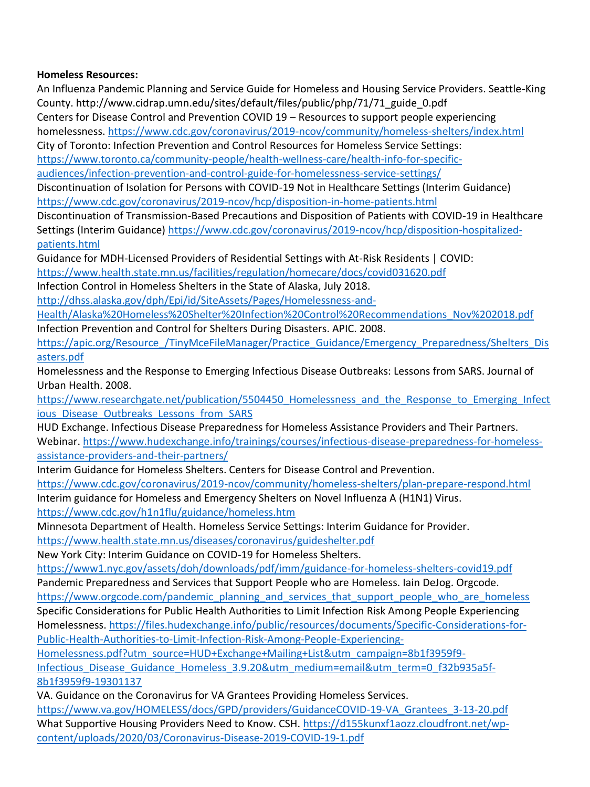#### **Homeless Resources:**

An Influenza Pandemic Planning and Service Guide for Homeless and Housing Service Providers. Seattle-King County. http://www.cidrap.umn.edu/sites/default/files/public/php/71/71\_guide\_0.pdf Centers for Disease Control and Prevention COVID 19 – Resources to support people experiencing homelessness.<https://www.cdc.gov/coronavirus/2019-ncov/community/homeless-shelters/index.html> City of Toronto: Infection Prevention and Control Resources for Homeless Service Settings: [https://www.toronto.ca/community-people/health-wellness-care/health-info-for-specific](https://www.toronto.ca/community-people/health-wellness-care/health-info-for-specific-audiences/infection-prevention-and-control-guide-for-homelessness-service-settings/)[audiences/infection-prevention-and-control-guide-for-homelessness-service-settings/](https://www.toronto.ca/community-people/health-wellness-care/health-info-for-specific-audiences/infection-prevention-and-control-guide-for-homelessness-service-settings/) Discontinuation of Isolation for Persons with COVID-19 Not in Healthcare Settings (Interim Guidance) <https://www.cdc.gov/coronavirus/2019-ncov/hcp/disposition-in-home-patients.html> Discontinuation of Transmission-Based Precautions and Disposition of Patients with COVID-19 in Healthcare Settings (Interim Guidance) [https://www.cdc.gov/coronavirus/2019-ncov/hcp/disposition-hospitalized](https://www.cdc.gov/coronavirus/2019-ncov/hcp/disposition-hospitalized-patients.html)[patients.html](https://www.cdc.gov/coronavirus/2019-ncov/hcp/disposition-hospitalized-patients.html)

Guidance for MDH-Licensed Providers of Residential Settings with At-Risk Residents | COVID: <https://www.health.state.mn.us/facilities/regulation/homecare/docs/covid031620.pdf>

Infection Control in Homeless Shelters in the State of Alaska, July 2018.

[http://dhss.alaska.gov/dph/Epi/id/SiteAssets/Pages/Homelessness-and-](http://dhss.alaska.gov/dph/Epi/id/SiteAssets/Pages/Homelessness-and-Health/Alaska%20Homeless%20Shelter%20Infection%20Control%20Recommendations_Nov%202018.pdf)

[Health/Alaska%20Homeless%20Shelter%20Infection%20Control%20Recommendations\\_Nov%202018.pdf](http://dhss.alaska.gov/dph/Epi/id/SiteAssets/Pages/Homelessness-and-Health/Alaska%20Homeless%20Shelter%20Infection%20Control%20Recommendations_Nov%202018.pdf) Infection Prevention and Control for Shelters During Disasters. APIC. 2008.

https://apic.org/Resource /TinyMceFileManager/Practice Guidance/Emergency Preparedness/Shelters Dis [asters.pdf](https://apic.org/Resource_/TinyMceFileManager/Practice_Guidance/Emergency_Preparedness/Shelters_Disasters.pdf)

Homelessness and the Response to Emerging Infectious Disease Outbreaks: Lessons from SARS. Journal of Urban Health. 2008.

https://www.researchgate.net/publication/5504450 Homelessness and the Response to Emerging Infect ious Disease Outbreaks Lessons from SARS

HUD Exchange. Infectious Disease Preparedness for Homeless Assistance Providers and Their Partners. Webinar. [https://www.hudexchange.info/trainings/courses/infectious-disease-preparedness-for-homeless](https://www.hudexchange.info/trainings/courses/infectious-disease-preparedness-for-homeless-assistance-providers-and-their-partners/)[assistance-providers-and-their-partners/](https://www.hudexchange.info/trainings/courses/infectious-disease-preparedness-for-homeless-assistance-providers-and-their-partners/)

Interim Guidance for Homeless Shelters. Centers for Disease Control and Prevention.

<https://www.cdc.gov/coronavirus/2019-ncov/community/homeless-shelters/plan-prepare-respond.html> Interim guidance for Homeless and Emergency Shelters on Novel Influenza A (H1N1) Virus. <https://www.cdc.gov/h1n1flu/guidance/homeless.htm>

Minnesota Department of Health. Homeless Service Settings: Interim Guidance for Provider.

<https://www.health.state.mn.us/diseases/coronavirus/guideshelter.pdf>

New York City: Interim Guidance on COVID-19 for Homeless Shelters.

<https://www1.nyc.gov/assets/doh/downloads/pdf/imm/guidance-for-homeless-shelters-covid19.pdf>

Pandemic Preparedness and Services that Support People who are Homeless. Iain DeJog. Orgcode.

[https://www.orgcode.com/pandemic\\_planning\\_and\\_services\\_that\\_support\\_people\\_who\\_are\\_homeless](https://www.orgcode.com/pandemic_planning_and_services_that_support_people_who_are_homeless)\_

Specific Considerations for Public Health Authorities to Limit Infection Risk Among People Experiencing Homelessness. [https://files.hudexchange.info/public/resources/documents/Specific-Considerations-for-](https://files.hudexchange.info/public/resources/documents/Specific-Considerations-for-Public-Health-Authorities-to-Limit-Infection-Risk-Among-People-Experiencing-Homelessness.pdf?utm_source=HUD+Exchange+Mailing+List&utm_campaign=8b1f3959f9-Infectious_Disease_Guidance_Homeless_3.9.20&utm_medium=email&utm_term=0_f32b935a5f-8b1f3959f9-19301137)

[Public-Health-Authorities-to-Limit-Infection-Risk-Among-People-Experiencing-](https://files.hudexchange.info/public/resources/documents/Specific-Considerations-for-Public-Health-Authorities-to-Limit-Infection-Risk-Among-People-Experiencing-Homelessness.pdf?utm_source=HUD+Exchange+Mailing+List&utm_campaign=8b1f3959f9-Infectious_Disease_Guidance_Homeless_3.9.20&utm_medium=email&utm_term=0_f32b935a5f-8b1f3959f9-19301137)

[Homelessness.pdf?utm\\_source=HUD+Exchange+Mailing+List&utm\\_campaign=8b1f3959f9-](https://files.hudexchange.info/public/resources/documents/Specific-Considerations-for-Public-Health-Authorities-to-Limit-Infection-Risk-Among-People-Experiencing-Homelessness.pdf?utm_source=HUD+Exchange+Mailing+List&utm_campaign=8b1f3959f9-Infectious_Disease_Guidance_Homeless_3.9.20&utm_medium=email&utm_term=0_f32b935a5f-8b1f3959f9-19301137)

[Infectious\\_Disease\\_Guidance\\_Homeless\\_3.9.20&utm\\_medium=email&utm\\_term=0\\_f32b935a5f-](https://files.hudexchange.info/public/resources/documents/Specific-Considerations-for-Public-Health-Authorities-to-Limit-Infection-Risk-Among-People-Experiencing-Homelessness.pdf?utm_source=HUD+Exchange+Mailing+List&utm_campaign=8b1f3959f9-Infectious_Disease_Guidance_Homeless_3.9.20&utm_medium=email&utm_term=0_f32b935a5f-8b1f3959f9-19301137)[8b1f3959f9-19301137](https://files.hudexchange.info/public/resources/documents/Specific-Considerations-for-Public-Health-Authorities-to-Limit-Infection-Risk-Among-People-Experiencing-Homelessness.pdf?utm_source=HUD+Exchange+Mailing+List&utm_campaign=8b1f3959f9-Infectious_Disease_Guidance_Homeless_3.9.20&utm_medium=email&utm_term=0_f32b935a5f-8b1f3959f9-19301137)

VA. Guidance on the Coronavirus for VA Grantees Providing Homeless Services.

[https://www.va.gov/HOMELESS/docs/GPD/providers/GuidanceCOVID-19-VA\\_Grantees\\_3-13-20.pdf](https://www.va.gov/HOMELESS/docs/GPD/providers/GuidanceCOVID-19-VA_Grantees_3-13-20.pdf) What Supportive Housing Providers Need to Know. CSH. [https://d155kunxf1aozz.cloudfront.net/wp](https://d155kunxf1aozz.cloudfront.net/wp-content/uploads/2020/03/Coronavirus-Disease-2019-COVID-19-1.pdf)[content/uploads/2020/03/Coronavirus-Disease-2019-COVID-19-1.pdf](https://d155kunxf1aozz.cloudfront.net/wp-content/uploads/2020/03/Coronavirus-Disease-2019-COVID-19-1.pdf)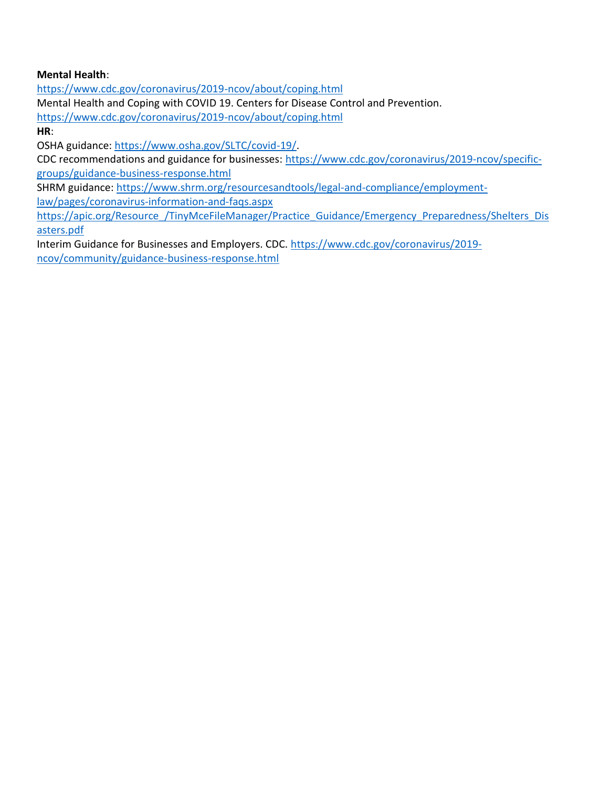#### **Mental Health**:

<https://www.cdc.gov/coronavirus/2019-ncov/about/coping.html>

Mental Health and Coping with COVID 19. Centers for Disease Control and Prevention.

<https://www.cdc.gov/coronavirus/2019-ncov/about/coping.html>

**HR**:

OSHA guidance: [https://www.osha.gov/SLTC/covid-19/.](https://www.osha.gov/SLTC/covid-19/)

CDC recommendations and guidance for businesses: [https://www.cdc.gov/coronavirus/2019-ncov/specific](https://www.cdc.gov/coronavirus/2019-ncov/specific-groups/guidance-business-response.html)[groups/guidance-business-response.html](https://www.cdc.gov/coronavirus/2019-ncov/specific-groups/guidance-business-response.html)

SHRM guidance: [https://www.shrm.org/resourcesandtools/legal-and-compliance/employment-](https://www.shrm.org/resourcesandtools/legal-and-compliance/employment-law/pages/coronavirus-information-and-faqs.aspx)

[law/pages/coronavirus-information-and-faqs.aspx](https://www.shrm.org/resourcesandtools/legal-and-compliance/employment-law/pages/coronavirus-information-and-faqs.aspx)

https://apic.org/Resource /TinyMceFileManager/Practice Guidance/Emergency Preparedness/Shelters Dis [asters.pdf](https://apic.org/Resource_/TinyMceFileManager/Practice_Guidance/Emergency_Preparedness/Shelters_Disasters.pdf)

Interim Guidance for Businesses and Employers. CDC. [https://www.cdc.gov/coronavirus/2019](https://www.cdc.gov/coronavirus/2019-ncov/community/guidance-business-response.html) [ncov/community/guidance-business-response.html](https://www.cdc.gov/coronavirus/2019-ncov/community/guidance-business-response.html)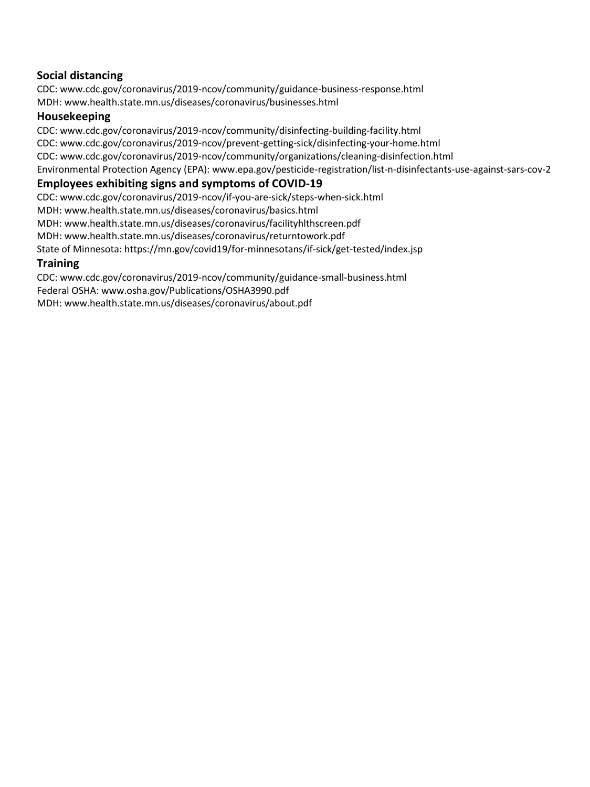### **Social distancing**

CDC: www.cdc.gov/coronavirus/2019-ncov/community/guidance-business-response.html MDH: www.health.state.mn.us/diseases/coronavirus/businesses.html

#### **Housekeeping**

CDC: www.cdc.gov/coronavirus/2019-ncov/community/disinfecting-building-facility.html CDC: www.cdc.gov/coronavirus/2019-ncov/prevent-getting-sick/disinfecting-your-home.html CDC: www.cdc.gov/coronavirus/2019-ncov/community/organizations/cleaning-disinfection.html Environmental Protection Agency (EPA): www.epa.gov/pesticide-registration/list-n-disinfectants-use-against-sars-cov-2

#### **Employees exhibiting signs and symptoms of COVID-19**

CDC: www.cdc.gov/coronavirus/2019-ncov/if-you-are-sick/steps-when-sick.html MDH: www.health.state.mn.us/diseases/coronavirus/basics.html MDH: www.health.state.mn.us/diseases/coronavirus/facilityhlthscreen.pdf MDH: www.health.state.mn.us/diseases/coronavirus/returntowork.pdf State of Minnesota: https://mn.gov/covid19/for-minnesotans/if-sick/get-tested/index.jsp

#### **Training**

CDC: www.cdc.gov/coronavirus/2019-ncov/community/guidance-small-business.html Federal OSHA: www.osha.gov/Publications/OSHA3990.pdf MDH: www.health.state.mn.us/diseases/coronavirus/about.pdf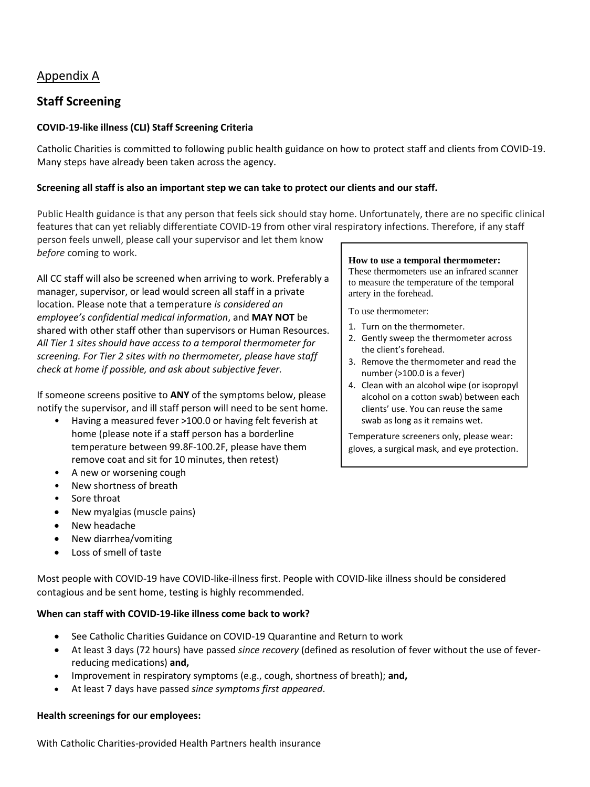## Appendix A

## **Staff Screening**

#### **COVID-19-like illness (CLI) Staff Screening Criteria**

Catholic Charities is committed to following public health guidance on how to protect staff and clients from COVID-19. Many steps have already been taken across the agency.

#### **Screening all staff is also an important step we can take to protect our clients and our staff.**

Public Health guidance is that any person that feels sick should stay home. Unfortunately, there are no specific clinical features that can yet reliably differentiate COVID-19 from other viral respiratory infections. Therefore, if any staff

person feels unwell, please call your supervisor and let them know *before* coming to work.

All CC staff will also be screened when arriving to work. Preferably a manager, supervisor, or lead would screen all staff in a private location. Please note that a temperature *is considered an employee's confidential medical information*, and **MAY NOT** be shared with other staff other than supervisors or Human Resources. *All Tier 1 sites should have access to a temporal thermometer for screening. For Tier 2 sites with no thermometer, please have staff check at home if possible, and ask about subjective fever.*

If someone screens positive to **ANY** of the symptoms below, please notify the supervisor, and ill staff person will need to be sent home.

- Having a measured fever >100.0 or having felt feverish at home (please note if a staff person has a borderline temperature between 99.8F-100.2F, please have them remove coat and sit for 10 minutes, then retest)
- A new or worsening cough
- New shortness of breath
- Sore throat
- New myalgias (muscle pains)
- New headache
- New diarrhea/vomiting
- Loss of smell of taste

Most people with COVID-19 have COVID-like-illness first. People with COVID-like illness should be considered contagious and be sent home, testing is highly recommended.

#### **When can staff with COVID-19-like illness come back to work?**

- See Catholic Charities Guidance on COVID-19 Quarantine and Return to work
- At least 3 days (72 hours) have passed *since recovery* (defined as resolution of fever without the use of feverreducing medications) **and,**
- Improvement in respiratory symptoms (e.g., cough, shortness of breath); **and,**
- At least 7 days have passed *since symptoms first appeared*.

#### **Health screenings for our employees:**

With Catholic Charities-provided Health Partners health insurance

#### **How to use a temporal thermometer:**

These thermometers use an infrared scanner to measure the temperature of the temporal artery in the forehead.

To use thermometer:

- 1. Turn on the thermometer.
- 2. Gently sweep the thermometer across the client's forehead.
- 3. Remove the thermometer and read the number (>100.0 is a fever)
- 4. Clean with an alcohol wipe (or isopropyl alcohol on a cotton swab) between each clients' use. You can reuse the same swab as long as it remains wet.

Temperature screeners only, please wear: gloves, a surgical mask, and eye protection.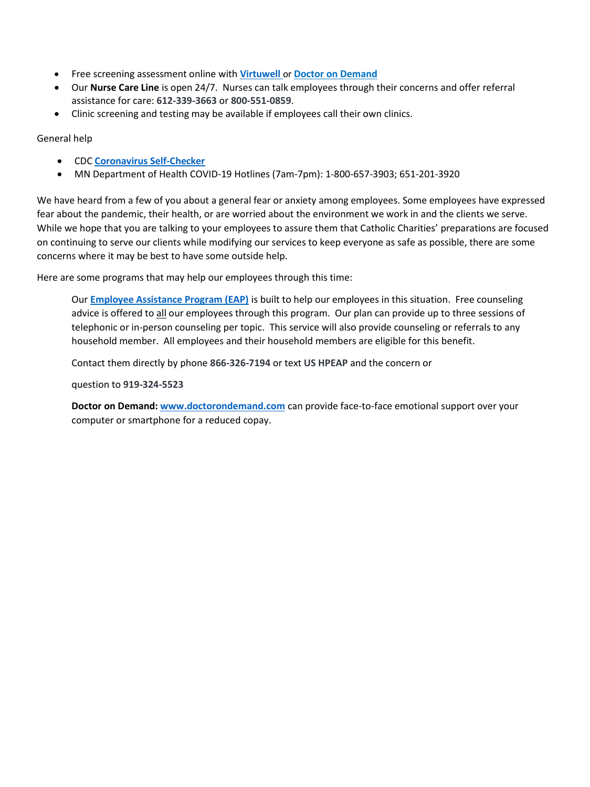- Free screening assessment online with **[Virtuwell](https://blog.virtuwell.com/coronavirus-assessment/?utm_campaign=virtuwell_birthcontrol_20m3_both_hp&utm_source=eloqua_&utm_medium=email&utm_content=_list_awareness&utm_term=_v1_assessment&elqTrackId=B68C79905DF51B0965059B145BE27BDD&elq=fd367e973dba484ab629ada7a65eec06&elqaid=3223&elqat=1&elqCampaignId=2077)** or **Doctor on [Demand](https://www.doctorondemand.com/coronavirus?elqTrackId=6713C84C87A2AB1ED9AAC76DD3FBE5CC&elq=fd367e973dba484ab629ada7a65eec06&elqaid=3223&elqat=1&elqCampaignId=2077)**
- Our **Nurse Care Line** is open 24/7. Nurses can talk employees through their concerns and offer referral assistance for care: **612-339-3663** or **800-551-0859**.
- Clinic screening and testing may be available if employees call their own clinics.

General help

- CDC **[Coronavirus Self-Checker](https://www.cdc.gov/coronavirus/2019-ncov/symptoms-testing/testing.html)**
- MN Department of Health COVID-19 Hotlines (7am-7pm): 1-800-657-3903; 651-201-3920

We have heard from a few of you about a general fear or anxiety among employees. Some employees have expressed fear about the pandemic, their health, or are worried about the environment we work in and the clients we serve. While we hope that you are talking to your employees to assure them that Catholic Charities' preparations are focused on continuing to serve our clients while modifying our services to keep everyone as safe as possible, there are some concerns where it may be best to have some outside help.

Here are some programs that may help our employees through this time:

Our **[Employee Assistance Program \(EAP\)](http://ccconnect/SharedServices/HR/BenefitsInfo/EAP_Brochure.pdf?Web=1)** is built to help our employees in this situation. Free counseling advice is offered to all our employees through this program. Our plan can provide up to three sessions of telephonic or in-person counseling per topic. This service will also provide counseling or referrals to any household member. All employees and their household members are eligible for this benefit.

Contact them directly by phone **866-326-7194** or text **US HPEAP** and the concern or

question to **919-324-5523**

**Doctor on Demand: [www.doctorondemand.com](http://www.doctorondemand.com/)** can provide face-to-face emotional support over your computer or smartphone for a reduced copay.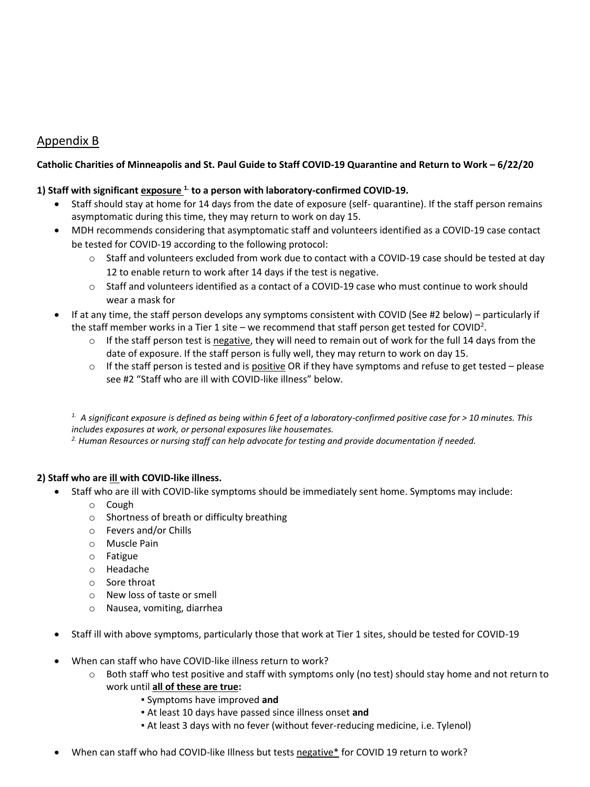## Appendix B

#### **Catholic Charities of Minneapolis and St. Paul Guide to Staff COVID-19 Quarantine and Return to Work – 6/22/20**

#### **1) Staff with significant exposure 1. to a person with laboratory-confirmed COVID-19.**

- Staff should stay at home for 14 days from the date of exposure (self- quarantine). If the staff person remains asymptomatic during this time, they may return to work on day 15.
- MDH recommends considering that asymptomatic staff and volunteers identified as a COVID-19 case contact be tested for COVID-19 according to the following protocol:
	- $\circ$  Staff and volunteers excluded from work due to contact with a COVID-19 case should be tested at day 12 to enable return to work after 14 days if the test is negative.
	- $\circ$  Staff and volunteers identified as a contact of a COVID-19 case who must continue to work should wear a mask for
- If at any time, the staff person develops any symptoms consistent with COVID (See #2 below) particularly if the staff member works in a Tier 1 site – we recommend that staff person get tested for COVID<sup>2</sup>.
	- $\circ$  If the staff person test is negative, they will need to remain out of work for the full 14 days from the date of exposure. If the staff person is fully well, they may return to work on day 15.
	- $\circ$  If the staff person is tested and is positive OR if they have symptoms and refuse to get tested please see #2 "Staff who are ill with COVID-like illness" below.

*1. A significant exposure is defined as being within 6 feet of a laboratory-confirmed positive case for > 10 minutes. This includes exposures at work, or personal exposures like housemates. 2. Human Resources or nursing staff can help advocate for testing and provide documentation if needed.*

#### **2) Staff who are ill with COVID-like illness.**

- Staff who are ill with COVID-like symptoms should be immediately sent home. Symptoms may include:
	- o Cough
	- o Shortness of breath or difficulty breathing
	- o Fevers and/or Chills
	- o Muscle Pain
	- o Fatigue
	- o Headache
	- o Sore throat
	- o New loss of taste or smell
	- o Nausea, vomiting, diarrhea
- Staff ill with above symptoms, particularly those that work at Tier 1 sites, should be tested for COVID-19
- When can staff who have COVID-like illness return to work?
	- $\circ$  Both staff who test positive and staff with symptoms only (no test) should stay home and not return to work until **all of these are true:** 
		- Symptoms have improved **and**
		- At least 10 days have passed since illness onset **and**
		- At least 3 days with no fever (without fever-reducing medicine, i.e. Tylenol)
- When can staff who had COVID-like Illness but tests negative\* for COVID 19 return to work?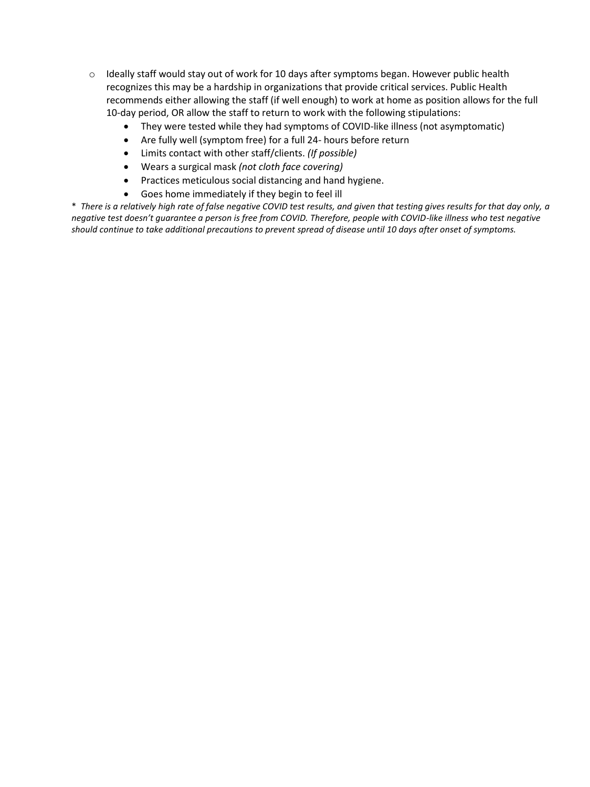- $\circ$  Ideally staff would stay out of work for 10 days after symptoms began. However public health recognizes this may be a hardship in organizations that provide critical services. Public Health recommends either allowing the staff (if well enough) to work at home as position allows for the full 10-day period, OR allow the staff to return to work with the following stipulations:
	- They were tested while they had symptoms of COVID-like illness (not asymptomatic)
	- Are fully well (symptom free) for a full 24- hours before return
	- Limits contact with other staff/clients. *(If possible)*
	- Wears a surgical mask *(not cloth face covering)*
	- Practices meticulous social distancing and hand hygiene.
	- Goes home immediately if they begin to feel ill

\* *There is a relatively high rate of false negative COVID test results, and given that testing gives results for that day only, a negative test doesn't guarantee a person is free from COVID. Therefore, people with COVID-like illness who test negative should continue to take additional precautions to prevent spread of disease until 10 days after onset of symptoms.*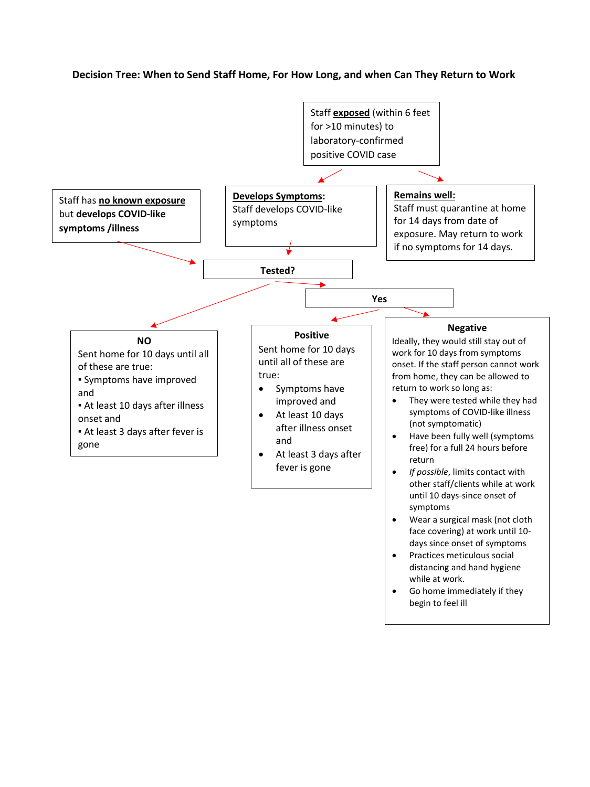#### **Decision Tree: When to Send Staff Home, For How Long, and when Can They Return to Work**

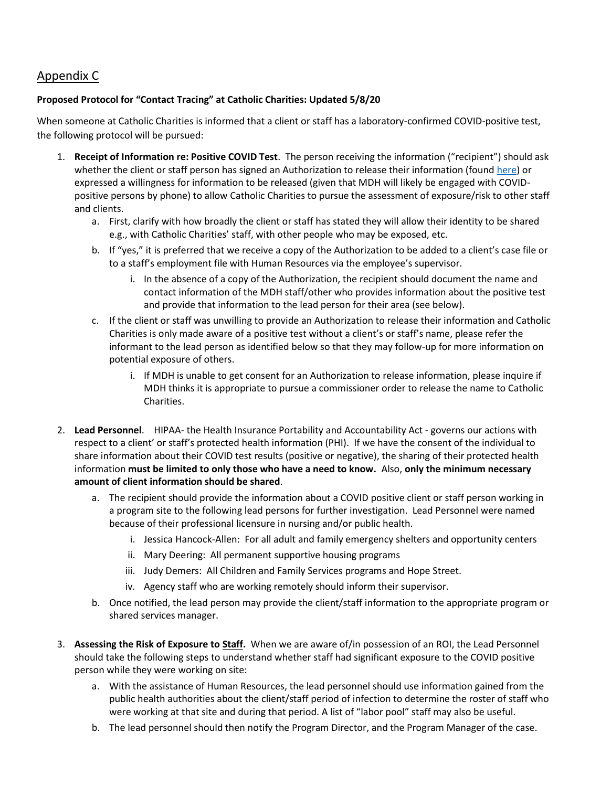## Appendix C

#### **Proposed Protocol for "Contact Tracing" at Catholic Charities: Updated 5/8/20**

When someone at Catholic Charities is informed that a client or staff has a laboratory-confirmed COVID-positive test, the following protocol will be pursued:

- 1. **Receipt of Information re: Positive COVID Test**. The person receiving the information ("recipient") should ask whether the client or staff person has signed an Authorization to release their information (found [here\)](http://ccconnect/SharedServices/_layouts/15/WopiFrame.aspx?sourcedoc=/SharedServices/Documents/Privacy%20-%20Authorization%20for%20Release%20of%20Information%20(Appendix%20E).docx&action=default) or expressed a willingness for information to be released (given that MDH will likely be engaged with COVIDpositive persons by phone) to allow Catholic Charities to pursue the assessment of exposure/risk to other staff and clients.
	- a. First, clarify with how broadly the client or staff has stated they will allow their identity to be shared e.g., with Catholic Charities' staff, with other people who may be exposed, etc.
	- b. If "yes," it is preferred that we receive a copy of the Authorization to be added to a client's case file or to a staff's employment file with Human Resources via the employee's supervisor.
		- i. In the absence of a copy of the Authorization, the recipient should document the name and contact information of the MDH staff/other who provides information about the positive test and provide that information to the lead person for their area (see below).
	- c. If the client or staff was unwilling to provide an Authorization to release their information and Catholic Charities is only made aware of a positive test without a client's or staff's name, please refer the informant to the lead person as identified below so that they may follow-up for more information on potential exposure of others.
		- i. If MDH is unable to get consent for an Authorization to release information, please inquire if MDH thinks it is appropriate to pursue a commissioner order to release the name to Catholic Charities.
- 2. **Lead Personnel**. HIPAA- the Health Insurance Portability and Accountability Act governs our actions with respect to a client' or staff's protected health information (PHI). If we have the consent of the individual to share information about their COVID test results (positive or negative), the sharing of their protected health information **must be limited to only those who have a need to know.** Also, **only the minimum necessary amount of client information should be shared**.
	- a. The recipient should provide the information about a COVID positive client or staff person working in a program site to the following lead persons for further investigation. Lead Personnel were named because of their professional licensure in nursing and/or public health.
		- i. Jessica Hancock-Allen: For all adult and family emergency shelters and opportunity centers
		- ii. Mary Deering: All permanent supportive housing programs
		- iii. Judy Demers: All Children and Family Services programs and Hope Street.
		- iv. Agency staff who are working remotely should inform their supervisor.
	- b. Once notified, the lead person may provide the client/staff information to the appropriate program or shared services manager.
- 3. **Assessing the Risk of Exposure to Staff.** When we are aware of/in possession of an ROI, the Lead Personnel should take the following steps to understand whether staff had significant exposure to the COVID positive person while they were working on site:
	- a. With the assistance of Human Resources, the lead personnel should use information gained from the public health authorities about the client/staff period of infection to determine the roster of staff who were working at that site and during that period. A list of "labor pool" staff may also be useful.
	- b. The lead personnel should then notify the Program Director, and the Program Manager of the case.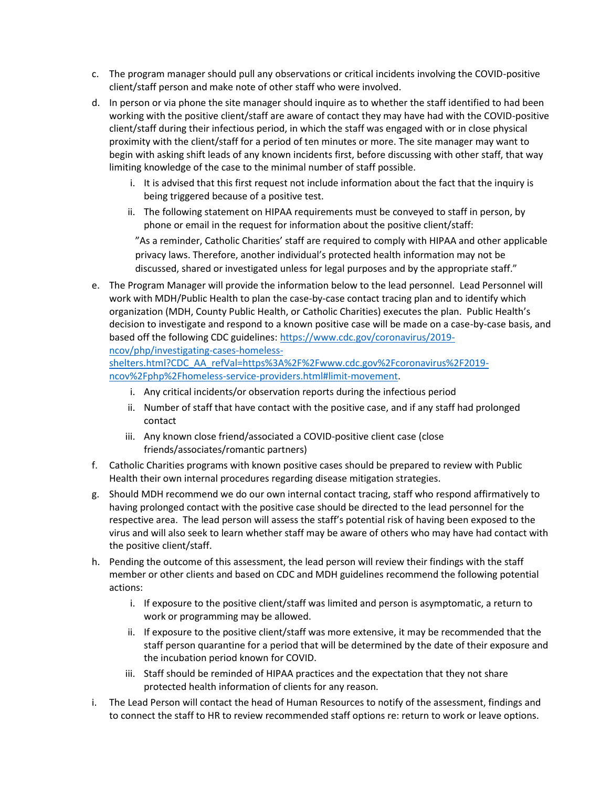- c. The program manager should pull any observations or critical incidents involving the COVID-positive client/staff person and make note of other staff who were involved.
- d. In person or via phone the site manager should inquire as to whether the staff identified to had been working with the positive client/staff are aware of contact they may have had with the COVID-positive client/staff during their infectious period, in which the staff was engaged with or in close physical proximity with the client/staff for a period of ten minutes or more. The site manager may want to begin with asking shift leads of any known incidents first, before discussing with other staff, that way limiting knowledge of the case to the minimal number of staff possible.
	- i. It is advised that this first request not include information about the fact that the inquiry is being triggered because of a positive test.
	- ii. The following statement on HIPAA requirements must be conveyed to staff in person, by phone or email in the request for information about the positive client/staff:

"As a reminder, Catholic Charities' staff are required to comply with HIPAA and other applicable privacy laws. Therefore, another individual's protected health information may not be discussed, shared or investigated unless for legal purposes and by the appropriate staff."

e. The Program Manager will provide the information below to the lead personnel. Lead Personnel will work with MDH/Public Health to plan the case-by-case contact tracing plan and to identify which organization (MDH, County Public Health, or Catholic Charities) executes the plan. Public Health's decision to investigate and respond to a known positive case will be made on a case-by-case basis, and based off the following CDC guidelines: [https://www.cdc.gov/coronavirus/2019](https://www.cdc.gov/coronavirus/2019-ncov/php/investigating-cases-homeless-shelters.html?CDC_AA_refVal=https%3A%2F%2Fwww.cdc.gov%2Fcoronavirus%2F2019-ncov%2Fphp%2Fhomeless-service-providers.html#limit-movement) [ncov/php/investigating-cases-homeless-](https://www.cdc.gov/coronavirus/2019-ncov/php/investigating-cases-homeless-shelters.html?CDC_AA_refVal=https%3A%2F%2Fwww.cdc.gov%2Fcoronavirus%2F2019-ncov%2Fphp%2Fhomeless-service-providers.html#limit-movement)

[shelters.html?CDC\\_AA\\_refVal=https%3A%2F%2Fwww.cdc.gov%2Fcoronavirus%2F2019](https://www.cdc.gov/coronavirus/2019-ncov/php/investigating-cases-homeless-shelters.html?CDC_AA_refVal=https%3A%2F%2Fwww.cdc.gov%2Fcoronavirus%2F2019-ncov%2Fphp%2Fhomeless-service-providers.html#limit-movement) [ncov%2Fphp%2Fhomeless-service-providers.html#limit-movement.](https://www.cdc.gov/coronavirus/2019-ncov/php/investigating-cases-homeless-shelters.html?CDC_AA_refVal=https%3A%2F%2Fwww.cdc.gov%2Fcoronavirus%2F2019-ncov%2Fphp%2Fhomeless-service-providers.html#limit-movement)

- i. Any critical incidents/or observation reports during the infectious period
- ii. Number of staff that have contact with the positive case, and if any staff had prolonged contact
- iii. Any known close friend/associated a COVID-positive client case (close friends/associates/romantic partners)
- f. Catholic Charities programs with known positive cases should be prepared to review with Public Health their own internal procedures regarding disease mitigation strategies.
- g. Should MDH recommend we do our own internal contact tracing, staff who respond affirmatively to having prolonged contact with the positive case should be directed to the lead personnel for the respective area. The lead person will assess the staff's potential risk of having been exposed to the virus and will also seek to learn whether staff may be aware of others who may have had contact with the positive client/staff.
- h. Pending the outcome of this assessment, the lead person will review their findings with the staff member or other clients and based on CDC and MDH guidelines recommend the following potential actions:
	- i. If exposure to the positive client/staff was limited and person is asymptomatic, a return to work or programming may be allowed.
	- ii. If exposure to the positive client/staff was more extensive, it may be recommended that the staff person quarantine for a period that will be determined by the date of their exposure and the incubation period known for COVID.
	- iii. Staff should be reminded of HIPAA practices and the expectation that they not share protected health information of clients for any reason.
- i. The Lead Person will contact the head of Human Resources to notify of the assessment, findings and to connect the staff to HR to review recommended staff options re: return to work or leave options.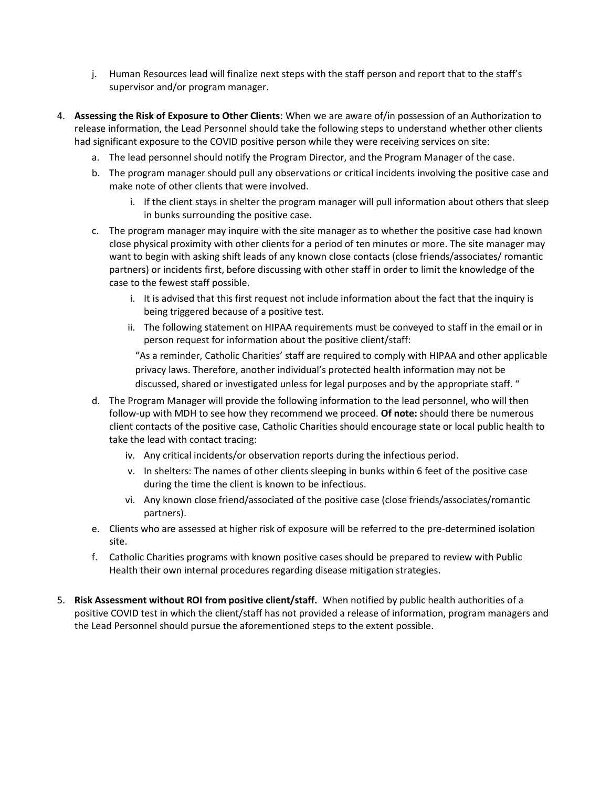- j. Human Resources lead will finalize next steps with the staff person and report that to the staff's supervisor and/or program manager.
- 4. **Assessing the Risk of Exposure to Other Clients**: When we are aware of/in possession of an Authorization to release information, the Lead Personnel should take the following steps to understand whether other clients had significant exposure to the COVID positive person while they were receiving services on site:
	- a. The lead personnel should notify the Program Director, and the Program Manager of the case.
	- b. The program manager should pull any observations or critical incidents involving the positive case and make note of other clients that were involved.
		- i. If the client stays in shelter the program manager will pull information about others that sleep in bunks surrounding the positive case.
	- c. The program manager may inquire with the site manager as to whether the positive case had known close physical proximity with other clients for a period of ten minutes or more. The site manager may want to begin with asking shift leads of any known close contacts (close friends/associates/ romantic partners) or incidents first, before discussing with other staff in order to limit the knowledge of the case to the fewest staff possible.
		- i. It is advised that this first request not include information about the fact that the inquiry is being triggered because of a positive test.
		- ii. The following statement on HIPAA requirements must be conveyed to staff in the email or in person request for information about the positive client/staff:

"As a reminder, Catholic Charities' staff are required to comply with HIPAA and other applicable privacy laws. Therefore, another individual's protected health information may not be discussed, shared or investigated unless for legal purposes and by the appropriate staff. "

- d. The Program Manager will provide the following information to the lead personnel, who will then follow-up with MDH to see how they recommend we proceed. **Of note:** should there be numerous client contacts of the positive case, Catholic Charities should encourage state or local public health to take the lead with contact tracing:
	- iv. Any critical incidents/or observation reports during the infectious period.
	- v. In shelters: The names of other clients sleeping in bunks within 6 feet of the positive case during the time the client is known to be infectious.
	- vi. Any known close friend/associated of the positive case (close friends/associates/romantic partners).
- e. Clients who are assessed at higher risk of exposure will be referred to the pre-determined isolation site.
- f. Catholic Charities programs with known positive cases should be prepared to review with Public Health their own internal procedures regarding disease mitigation strategies.
- 5. **Risk Assessment without ROI from positive client/staff.** When notified by public health authorities of a positive COVID test in which the client/staff has not provided a release of information, program managers and the Lead Personnel should pursue the aforementioned steps to the extent possible.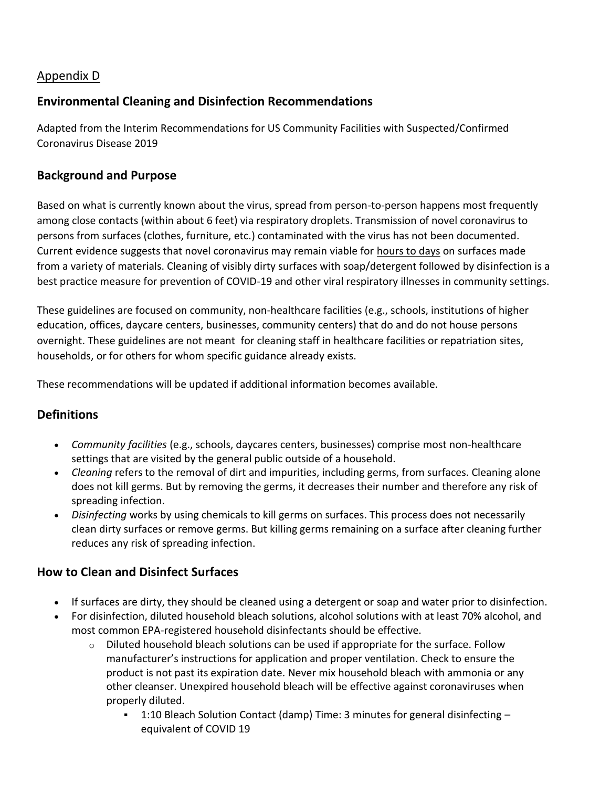## Appendix D

## **Environmental Cleaning and Disinfection Recommendations**

Adapted from the Interim Recommendations for US Community Facilities with Suspected/Confirmed Coronavirus Disease 2019

## **Background and Purpose**

Based on what is currently known about the virus, spread from person-to-person happens most frequently among close contacts (within about 6 feet) via respiratory droplets. Transmission of novel coronavirus to persons from surfaces (clothes, furniture, etc.) contaminated with the virus has not been documented. Current evidence suggests that novel coronavirus may remain viable for hours to days on surfaces made from a variety of materials. Cleaning of visibly dirty surfaces with soap/detergent followed by disinfection is a best practice measure for prevention of COVID-19 and other viral respiratory illnesses in community settings.

These guidelines are focused on community, non-healthcare facilities (e.g., schools, institutions of higher education, offices, daycare centers, businesses, community centers) that do and do not house persons overnight. These guidelines are not meant for [cleaning staff in healthcare facilities](https://www.cdc.gov/coronavirus/2019-ncov/infection-control/control-recommendations.html) or repatriation sites, [households,](https://www.cdc.gov/coronavirus/2019-ncov/community/home/cleaning-disinfection.html) or for others for whom specific guidance already exists.

These recommendations will be updated if additional information becomes available.

## **Definitions**

- *Community facilities* (e.g., schools, daycares centers, businesses) comprise most non-healthcare settings that are visited by the general public outside of a household.
- *Cleaning* refers to the removal of dirt and impurities, including germs, from surfaces. Cleaning alone does not kill germs. But by removing the germs, it decreases their number and therefore any risk of spreading infection.
- *Disinfecting* works by using chemicals to kill germs on surfaces. This process does not necessarily clean dirty surfaces or remove germs. But killing germs remaining on a surface after cleaning further reduces any risk of spreading infection.

## **How to Clean and Disinfect Surfaces**

- If surfaces are dirty, they should be cleaned using a detergent or soap and water prior to disinfection.
- For disinfection, diluted household bleach solutions, alcohol solutions with at least 70% alcohol, and most common EPA-registered household disinfectants should be effective.
	- $\circ$  Diluted household bleach solutions can be used if appropriate for the surface. Follow manufacturer's instructions for application and proper ventilation. Check to ensure the product is not past its expiration date. Never mix household bleach with ammonia or any other cleanser. Unexpired household bleach will be effective against coronaviruses when properly diluted.
		- 1:10 Bleach Solution Contact (damp) Time: 3 minutes for general disinfecting equivalent of COVID 19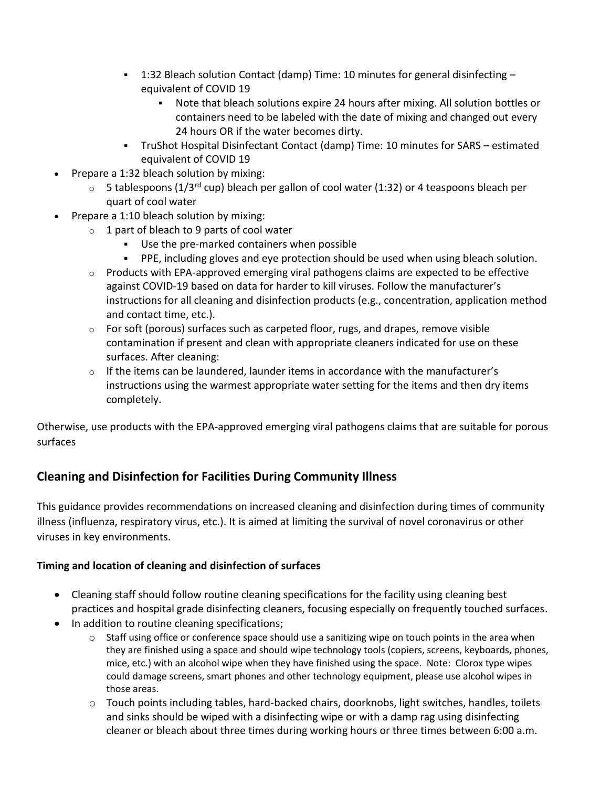- $\blacksquare$  1:32 Bleach solution Contact (damp) Time: 10 minutes for general disinfecting  $$ equivalent of COVID 19
	- Note that bleach solutions expire 24 hours after mixing. All solution bottles or containers need to be labeled with the date of mixing and changed out every 24 hours OR if the water becomes dirty.
- TruShot Hospital Disinfectant Contact (damp) Time: 10 minutes for SARS estimated equivalent of COVID 19
- Prepare a 1:32 bleach solution by mixing:
	- $\circ$  5 tablespoons (1/3<sup>rd</sup> cup) bleach per gallon of cool water (1:32) or 4 teaspoons bleach per quart of cool water
- Prepare a 1:10 bleach solution by mixing:
	- $\circ$  1 part of bleach to 9 parts of cool water
		- Use the pre-marked containers when possible
		- PPE, including gloves and eye protection should be used when using bleach solution.
	- $\circ$  [Products with EPA-approved emerging viral pathogens claims](https://www.epa.gov/pesticide-registration/list-n-disinfectants-use-against-sars-cov-2) are expected to be effective against COVID-19 based on data for harder to kill viruses. Follow the manufacturer's instructions for all cleaning and disinfection products (e.g., concentration, application method and contact time, etc.).
	- $\circ$  For soft (porous) surfaces such as carpeted floor, rugs, and drapes, remove visible contamination if present and clean with appropriate cleaners indicated for use on these surfaces. After cleaning:
	- $\circ$  If the items can be laundered, launder items in accordance with the manufacturer's instructions using the warmest appropriate water setting for the items and then dry items completely.

Otherwise, use products with the EPA-approved emerging viral pathogens claims that are suitable for porous surfaces

## **Cleaning and Disinfection for Facilities During Community Illness**

This guidance provides recommendations on increased cleaning and disinfection during times of community illness (influenza, respiratory virus, etc.). It is aimed at limiting the survival of novel coronavirus or other viruses in key environments.

#### **Timing and location of cleaning and disinfection of surfaces**

- Cleaning staff should follow routine cleaning specifications for the facility using cleaning best practices and hospital grade disinfecting cleaners, focusing especially on frequently touched surfaces.
- In addition to routine cleaning specifications;
	- $\circ$  Staff using office or conference space should use a sanitizing wipe on touch points in the area when they are finished using a space and should wipe technology tools (copiers, screens, keyboards, phones, mice, etc.) with an alcohol wipe when they have finished using the space. Note: Clorox type wipes could damage screens, smart phones and other technology equipment, please use alcohol wipes in those areas.
	- o Touch points including tables, hard-backed chairs, doorknobs, light switches, handles, toilets and sinks should be wiped with a disinfecting wipe or with a damp rag using disinfecting cleaner or bleach about three times during working hours or three times between 6:00 a.m.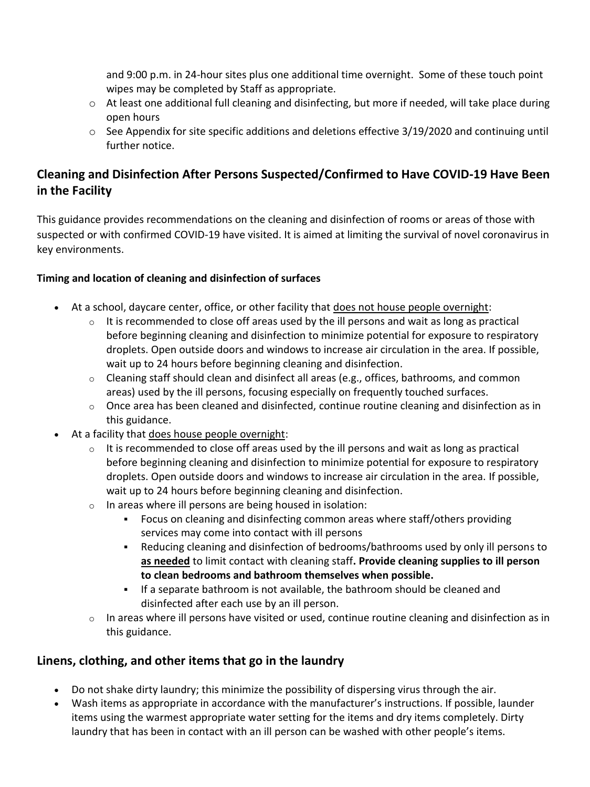and 9:00 p.m. in 24-hour sites plus one additional time overnight. Some of these touch point wipes may be completed by Staff as appropriate.

- $\circ$  At least one additional full cleaning and disinfecting, but more if needed, will take place during open hours
- $\circ$  See Appendix for site specific additions and deletions effective 3/19/2020 and continuing until further notice.

## **Cleaning and Disinfection After Persons Suspected/Confirmed to Have COVID-19 Have Been in the Facility**

This guidance provides recommendations on the cleaning and disinfection of rooms or areas of those with suspected or with confirmed COVID-19 have visited. It is aimed at limiting the survival of novel coronavirus in key environments.

#### **Timing and location of cleaning and disinfection of surfaces**

- At a school, daycare center, office, or other facility that does not house people overnight:
	- $\circ$  It is recommended to close off areas used by the ill persons and wait as long as practical before beginning cleaning and disinfection to minimize potential for exposure to respiratory droplets. Open outside doors and windows to increase air circulation in the area. If possible, wait up to 24 hours before beginning cleaning and disinfection.
	- o Cleaning staff should clean and disinfect all areas (e.g., offices, bathrooms, and common areas) used by the ill persons, focusing especially on frequently touched surfaces.
	- o Once area has been cleaned and disinfected, continue routine cleaning and disinfection as in this guidance.
- At a facility that does house people overnight:
	- $\circ$  It is recommended to close off areas used by the ill persons and wait as long as practical before beginning cleaning and disinfection to minimize potential for exposure to respiratory droplets. Open outside doors and windows to increase air circulation in the area. If possible, wait up to 24 hours before beginning cleaning and disinfection.
	- o In areas where ill persons are being housed in isolation:
		- Focus on cleaning and disinfecting common areas where staff/others providing services may come into contact with ill persons
		- Reducing cleaning and disinfection of bedrooms/bathrooms used by only ill persons to **as needed** to limit contact with cleaning staff**. Provide cleaning supplies to ill person to clean bedrooms and bathroom themselves when possible.**
		- If a separate bathroom is not available, the bathroom should be cleaned and disinfected after each use by an ill person.
	- $\circ$  In areas where ill persons have visited or used, continue routine cleaning and disinfection as in this guidance.

## **Linens, clothing, and other items that go in the laundry**

- Do not shake dirty laundry; this minimize the possibility of dispersing virus through the air.
- Wash items as appropriate in accordance with the manufacturer's instructions. If possible, launder items using the warmest appropriate water setting for the items and dry items completely. Dirty laundry that has been in contact with an ill person can be washed with other people's items.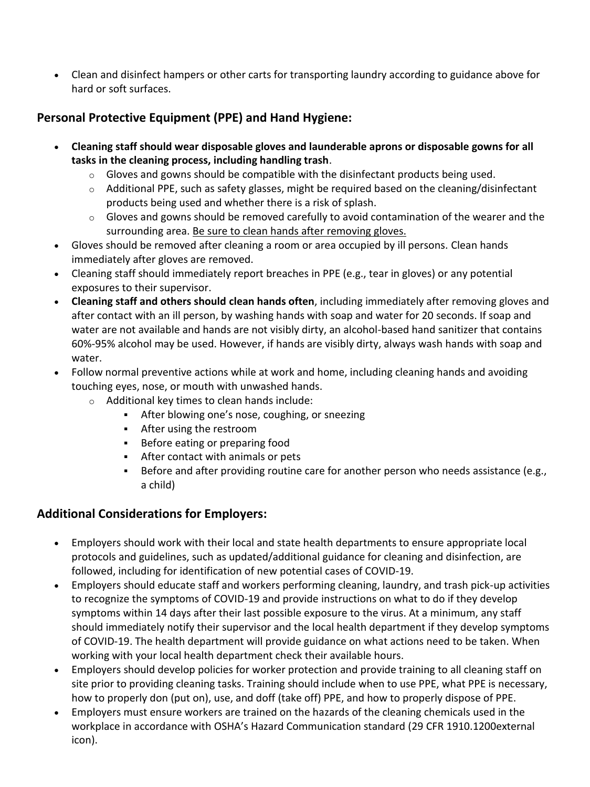• Clean and disinfect hampers or other carts for transporting laundry according to guidance above for hard or soft surfaces.

## **Personal Protective Equipment (PPE) and Hand Hygiene:**

- **Cleaning staff should wear disposable gloves and launderable aprons or disposable gowns for all tasks in the cleaning process, including handling trash**.
	- $\circ$  Gloves and gowns should be compatible with the disinfectant products being used.
	- $\circ$  Additional PPE, such as safety glasses, might be required based on the cleaning/disinfectant products being used and whether there is a risk of splash.
	- $\circ$  Gloves and gowns should be removed carefully to avoid contamination of the wearer and the surrounding area. Be sure to clean hands after removing gloves.
- Gloves should be removed after cleaning a room or area occupied by ill persons. [Clean hands](https://www.cdc.gov/handwashing/when-how-handwashing.html) immediately after gloves are removed.
- Cleaning staff should immediately report breaches in PPE (e.g., tear in gloves) or any potential exposures to their supervisor.
- **Cleaning staff and others should [clean h](https://www.cdc.gov/handwashing/when-how-handwashing.html)ands often**, including immediately after removing gloves and after contact with an ill person, by washing hands with soap and water for 20 seconds. If soap and water are not available and hands are not visibly dirty, an alcohol-based hand sanitizer that contains 60%-95% alcohol may be used. However, if hands are visibly dirty, always wash hands with soap and water.
- Follow normal preventive actions while at work and home, including cleaning hands and avoiding touching eyes, nose, or mouth with unwashed hands.
	- o Additional key times to clean hands include:
		- After blowing one's nose, coughing, or sneezing
		- **EXEC** 1 After using the restroom
		- Before eating or preparing food
		- After contact with animals or pets
		- Before and after providing routine care for another person who needs assistance (e.g., a child)

## **Additional Considerations for Employers:**

- Employers should work with their local and state health departments to ensure appropriate local protocols and guidelines, such as updated/additional guidance for cleaning and disinfection, are followed, including for identification of new potential cases of COVID-19.
- Employers should educate staff and workers performing cleaning, laundry, and trash pick-up activities to recognize the symptoms of COVID-19 and provide instructions on what to do if they develop [symptoms](https://www.cdc.gov/coronavirus/2019-ncov/about/symptoms.html) within 14 days after their last possible exposure to the virus. At a minimum, any staff should immediately notify their supervisor and the local health department if they develop symptoms of COVID-19. The health department will provide guidance on what actions need to be taken. When working with your local health department check their available hours.
- Employers should develop policies for worker protection and provide training to all cleaning staff on site prior to providing cleaning tasks. Training should include when to use PPE, what PPE is necessary, how to properly don (put on), use, and doff (take off) PPE, and how to properly dispose of PPE.
- Employers must ensure workers are trained on the hazards of the cleaning chemicals used in the workplace in accordance with OSHA's Hazard Communication standard ([29 CFR 1910.1200external](https://www.osha.gov/laws-regs/regulations/standardnumber/1910/1910.1200)  [icon\)](https://www.osha.gov/laws-regs/regulations/standardnumber/1910/1910.1200).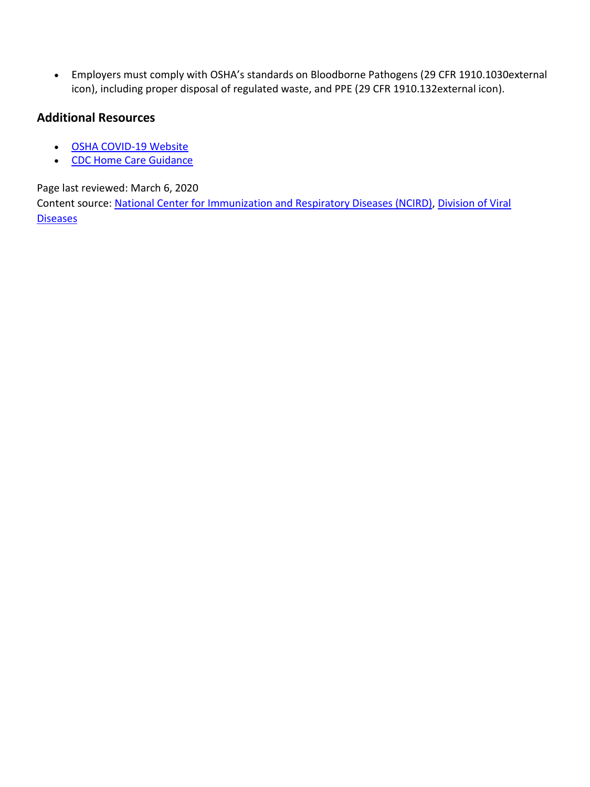• Employers must comply with OSHA's standards on Bloodborne Pathogens ([29 CFR 1910.1030external](https://www.osha.gov/laws-regs/regulations/standardnumber/1910/1910.1030)  [icon\)](https://www.osha.gov/laws-regs/regulations/standardnumber/1910/1910.1030), including proper disposal of regulated waste, and PPE [\(29 CFR 1910.132external icon\)](https://www.osha.gov/laws-regs/regulations/standardnumber/1910/1910.132).

## **Additional Resources**

- [OSHA COVID-19 Website](https://www.osha.gov/SLTC/covid-19/controlprevention.html#health)
- [CDC Home Care Guidance](https://www.cdc.gov/coronavirus/2019-ncov/hcp/guidance-prevent-spread.html)

Page last reviewed: March 6, 2020

Content source: [National Center for Immunization and Respiratory Diseases \(NCIRD\),](https://www.cdc.gov/ncird/index.html) [Division of Viral](https://www.cdc.gov/ncird/dvd.html)  **[Diseases](https://www.cdc.gov/ncird/dvd.html)**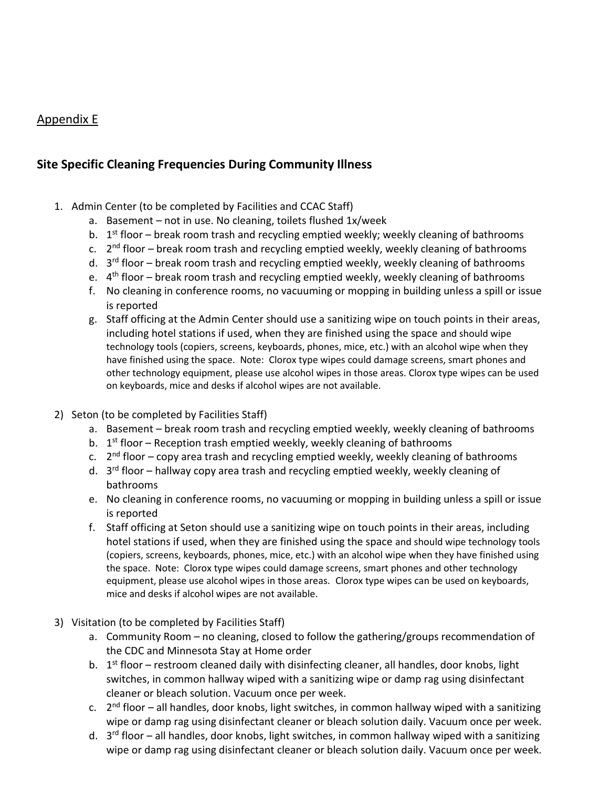## Appendix E

## **Site Specific Cleaning Frequencies During Community Illness**

- 1. Admin Center (to be completed by Facilities and CCAC Staff)
	- a. Basement not in use. No cleaning, toilets flushed 1x/week
	- b. 1<sup>st</sup> floor break room trash and recycling emptied weekly; weekly cleaning of bathrooms
	- c. 2<sup>nd</sup> floor break room trash and recycling emptied weekly, weekly cleaning of bathrooms
	- d. 3<sup>rd</sup> floor break room trash and recycling emptied weekly, weekly cleaning of bathrooms
	- e. 4<sup>th</sup> floor break room trash and recycling emptied weekly, weekly cleaning of bathrooms
	- f. No cleaning in conference rooms, no vacuuming or mopping in building unless a spill or issue is reported
	- g. Staff officing at the Admin Center should use a sanitizing wipe on touch points in their areas, including hotel stations if used, when they are finished using the space and should wipe technology tools (copiers, screens, keyboards, phones, mice, etc.) with an alcohol wipe when they have finished using the space. Note: Clorox type wipes could damage screens, smart phones and other technology equipment, please use alcohol wipes in those areas. Clorox type wipes can be used on keyboards, mice and desks if alcohol wipes are not available.
- 2) Seton (to be completed by Facilities Staff)
	- a. Basement break room trash and recycling emptied weekly, weekly cleaning of bathrooms
	- b. 1<sup>st</sup> floor Reception trash emptied weekly, weekly cleaning of bathrooms
	- c. 2<sup>nd</sup> floor copy area trash and recycling emptied weekly, weekly cleaning of bathrooms
	- d. 3<sup>rd</sup> floor hallway copy area trash and recycling emptied weekly, weekly cleaning of bathrooms
	- e. No cleaning in conference rooms, no vacuuming or mopping in building unless a spill or issue is reported
	- f. Staff officing at Seton should use a sanitizing wipe on touch points in their areas, including hotel stations if used, when they are finished using the space and should wipe technology tools (copiers, screens, keyboards, phones, mice, etc.) with an alcohol wipe when they have finished using the space. Note: Clorox type wipes could damage screens, smart phones and other technology equipment, please use alcohol wipes in those areas. Clorox type wipes can be used on keyboards, mice and desks if alcohol wipes are not available.
- 3) Visitation (to be completed by Facilities Staff)
	- a. Community Room no cleaning, closed to follow the gathering/groups recommendation of the CDC and Minnesota Stay at Home order
	- b. 1<sup>st</sup> floor restroom cleaned daily with disinfecting cleaner, all handles, door knobs, light switches, in common hallway wiped with a sanitizing wipe or damp rag using disinfectant cleaner or bleach solution. Vacuum once per week.
	- c. 2<sup>nd</sup> floor all handles, door knobs, light switches, in common hallway wiped with a sanitizing wipe or damp rag using disinfectant cleaner or bleach solution daily. Vacuum once per week.
	- d. 3<sup>rd</sup> floor all handles, door knobs, light switches, in common hallway wiped with a sanitizing wipe or damp rag using disinfectant cleaner or bleach solution daily. Vacuum once per week.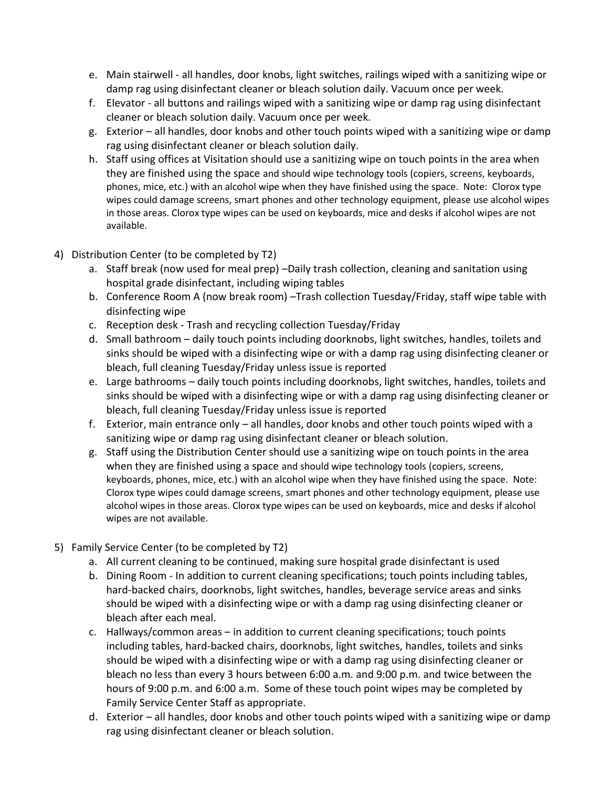- e. Main stairwell all handles, door knobs, light switches, railings wiped with a sanitizing wipe or damp rag using disinfectant cleaner or bleach solution daily. Vacuum once per week.
- f. Elevator all buttons and railings wiped with a sanitizing wipe or damp rag using disinfectant cleaner or bleach solution daily. Vacuum once per week.
- g. Exterior all handles, door knobs and other touch points wiped with a sanitizing wipe or damp rag using disinfectant cleaner or bleach solution daily.
- h. Staff using offices at Visitation should use a sanitizing wipe on touch points in the area when they are finished using the space and should wipe technology tools (copiers, screens, keyboards, phones, mice, etc.) with an alcohol wipe when they have finished using the space. Note: Clorox type wipes could damage screens, smart phones and other technology equipment, please use alcohol wipes in those areas. Clorox type wipes can be used on keyboards, mice and desks if alcohol wipes are not available.
- 4) Distribution Center (to be completed by T2)
	- a. Staff break (now used for meal prep) –Daily trash collection, cleaning and sanitation using hospital grade disinfectant, including wiping tables
	- b. Conference Room A (now break room) –Trash collection Tuesday/Friday, staff wipe table with disinfecting wipe
	- c. Reception desk Trash and recycling collection Tuesday/Friday
	- d. Small bathroom daily touch points including doorknobs, light switches, handles, toilets and sinks should be wiped with a disinfecting wipe or with a damp rag using disinfecting cleaner or bleach, full cleaning Tuesday/Friday unless issue is reported
	- e. Large bathrooms daily touch points including doorknobs, light switches, handles, toilets and sinks should be wiped with a disinfecting wipe or with a damp rag using disinfecting cleaner or bleach, full cleaning Tuesday/Friday unless issue is reported
	- f. Exterior, main entrance only all handles, door knobs and other touch points wiped with a sanitizing wipe or damp rag using disinfectant cleaner or bleach solution.
	- g. Staff using the Distribution Center should use a sanitizing wipe on touch points in the area when they are finished using a space and should wipe technology tools (copiers, screens, keyboards, phones, mice, etc.) with an alcohol wipe when they have finished using the space. Note: Clorox type wipes could damage screens, smart phones and other technology equipment, please use alcohol wipes in those areas. Clorox type wipes can be used on keyboards, mice and desks if alcohol wipes are not available.
- 5) Family Service Center (to be completed by T2)
	- a. All current cleaning to be continued, making sure hospital grade disinfectant is used
	- b. Dining Room In addition to current cleaning specifications; touch points including tables, hard-backed chairs, doorknobs, light switches, handles, beverage service areas and sinks should be wiped with a disinfecting wipe or with a damp rag using disinfecting cleaner or bleach after each meal.
	- c. Hallways/common areas in addition to current cleaning specifications; touch points including tables, hard-backed chairs, doorknobs, light switches, handles, toilets and sinks should be wiped with a disinfecting wipe or with a damp rag using disinfecting cleaner or bleach no less than every 3 hours between 6:00 a.m. and 9:00 p.m. and twice between the hours of 9:00 p.m. and 6:00 a.m. Some of these touch point wipes may be completed by Family Service Center Staff as appropriate.
	- d. Exterior all handles, door knobs and other touch points wiped with a sanitizing wipe or damp rag using disinfectant cleaner or bleach solution.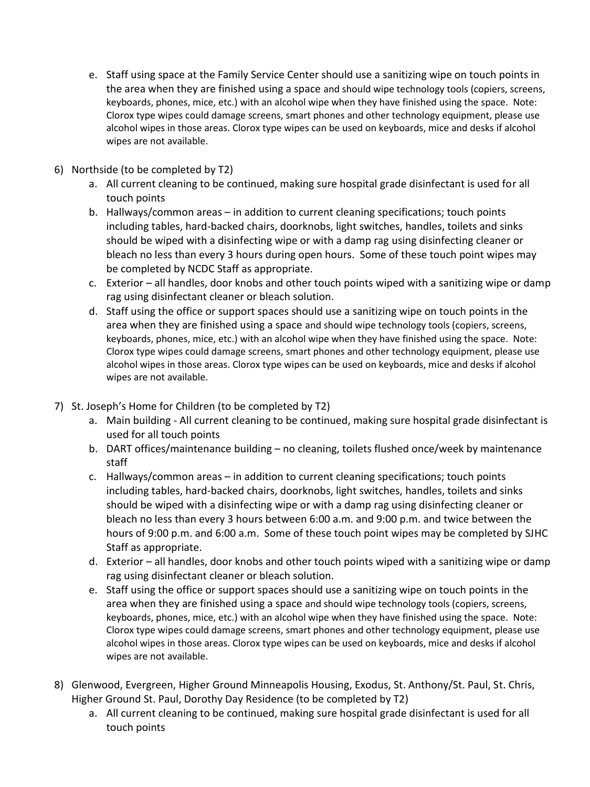- e. Staff using space at the Family Service Center should use a sanitizing wipe on touch points in the area when they are finished using a space and should wipe technology tools (copiers, screens, keyboards, phones, mice, etc.) with an alcohol wipe when they have finished using the space. Note: Clorox type wipes could damage screens, smart phones and other technology equipment, please use alcohol wipes in those areas. Clorox type wipes can be used on keyboards, mice and desks if alcohol wipes are not available.
- 6) Northside (to be completed by T2)
	- a. All current cleaning to be continued, making sure hospital grade disinfectant is used for all touch points
	- b. Hallways/common areas in addition to current cleaning specifications; touch points including tables, hard-backed chairs, doorknobs, light switches, handles, toilets and sinks should be wiped with a disinfecting wipe or with a damp rag using disinfecting cleaner or bleach no less than every 3 hours during open hours. Some of these touch point wipes may be completed by NCDC Staff as appropriate.
	- c. Exterior all handles, door knobs and other touch points wiped with a sanitizing wipe or damp rag using disinfectant cleaner or bleach solution.
	- d. Staff using the office or support spaces should use a sanitizing wipe on touch points in the area when they are finished using a space and should wipe technology tools (copiers, screens, keyboards, phones, mice, etc.) with an alcohol wipe when they have finished using the space. Note: Clorox type wipes could damage screens, smart phones and other technology equipment, please use alcohol wipes in those areas. Clorox type wipes can be used on keyboards, mice and desks if alcohol wipes are not available.
- 7) St. Joseph's Home for Children (to be completed by T2)
	- a. Main building All current cleaning to be continued, making sure hospital grade disinfectant is used for all touch points
	- b. DART offices/maintenance building no cleaning, toilets flushed once/week by maintenance staff
	- c. Hallways/common areas in addition to current cleaning specifications; touch points including tables, hard-backed chairs, doorknobs, light switches, handles, toilets and sinks should be wiped with a disinfecting wipe or with a damp rag using disinfecting cleaner or bleach no less than every 3 hours between 6:00 a.m. and 9:00 p.m. and twice between the hours of 9:00 p.m. and 6:00 a.m. Some of these touch point wipes may be completed by SJHC Staff as appropriate.
	- d. Exterior all handles, door knobs and other touch points wiped with a sanitizing wipe or damp rag using disinfectant cleaner or bleach solution.
	- e. Staff using the office or support spaces should use a sanitizing wipe on touch points in the area when they are finished using a space and should wipe technology tools (copiers, screens, keyboards, phones, mice, etc.) with an alcohol wipe when they have finished using the space. Note: Clorox type wipes could damage screens, smart phones and other technology equipment, please use alcohol wipes in those areas. Clorox type wipes can be used on keyboards, mice and desks if alcohol wipes are not available.
- 8) Glenwood, Evergreen, Higher Ground Minneapolis Housing, Exodus, St. Anthony/St. Paul, St. Chris, Higher Ground St. Paul, Dorothy Day Residence (to be completed by T2)
	- a. All current cleaning to be continued, making sure hospital grade disinfectant is used for all touch points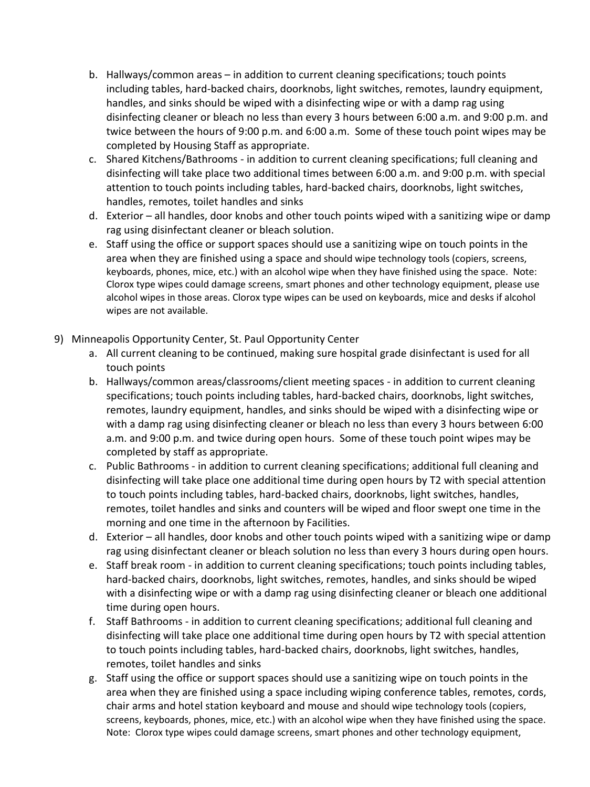- b. Hallways/common areas in addition to current cleaning specifications; touch points including tables, hard-backed chairs, doorknobs, light switches, remotes, laundry equipment, handles, and sinks should be wiped with a disinfecting wipe or with a damp rag using disinfecting cleaner or bleach no less than every 3 hours between 6:00 a.m. and 9:00 p.m. and twice between the hours of 9:00 p.m. and 6:00 a.m. Some of these touch point wipes may be completed by Housing Staff as appropriate.
- c. Shared Kitchens/Bathrooms in addition to current cleaning specifications; full cleaning and disinfecting will take place two additional times between 6:00 a.m. and 9:00 p.m. with special attention to touch points including tables, hard-backed chairs, doorknobs, light switches, handles, remotes, toilet handles and sinks
- d. Exterior all handles, door knobs and other touch points wiped with a sanitizing wipe or damp rag using disinfectant cleaner or bleach solution.
- e. Staff using the office or support spaces should use a sanitizing wipe on touch points in the area when they are finished using a space and should wipe technology tools (copiers, screens, keyboards, phones, mice, etc.) with an alcohol wipe when they have finished using the space. Note: Clorox type wipes could damage screens, smart phones and other technology equipment, please use alcohol wipes in those areas. Clorox type wipes can be used on keyboards, mice and desks if alcohol wipes are not available.
- 9) Minneapolis Opportunity Center, St. Paul Opportunity Center
	- a. All current cleaning to be continued, making sure hospital grade disinfectant is used for all touch points
	- b. Hallways/common areas/classrooms/client meeting spaces in addition to current cleaning specifications; touch points including tables, hard-backed chairs, doorknobs, light switches, remotes, laundry equipment, handles, and sinks should be wiped with a disinfecting wipe or with a damp rag using disinfecting cleaner or bleach no less than every 3 hours between 6:00 a.m. and 9:00 p.m. and twice during open hours. Some of these touch point wipes may be completed by staff as appropriate.
	- c. Public Bathrooms in addition to current cleaning specifications; additional full cleaning and disinfecting will take place one additional time during open hours by T2 with special attention to touch points including tables, hard-backed chairs, doorknobs, light switches, handles, remotes, toilet handles and sinks and counters will be wiped and floor swept one time in the morning and one time in the afternoon by Facilities.
	- d. Exterior all handles, door knobs and other touch points wiped with a sanitizing wipe or damp rag using disinfectant cleaner or bleach solution no less than every 3 hours during open hours.
	- e. Staff break room in addition to current cleaning specifications; touch points including tables, hard-backed chairs, doorknobs, light switches, remotes, handles, and sinks should be wiped with a disinfecting wipe or with a damp rag using disinfecting cleaner or bleach one additional time during open hours.
	- f. Staff Bathrooms in addition to current cleaning specifications; additional full cleaning and disinfecting will take place one additional time during open hours by T2 with special attention to touch points including tables, hard-backed chairs, doorknobs, light switches, handles, remotes, toilet handles and sinks
	- g. Staff using the office or support spaces should use a sanitizing wipe on touch points in the area when they are finished using a space including wiping conference tables, remotes, cords, chair arms and hotel station keyboard and mouse and should wipe technology tools (copiers, screens, keyboards, phones, mice, etc.) with an alcohol wipe when they have finished using the space. Note: Clorox type wipes could damage screens, smart phones and other technology equipment,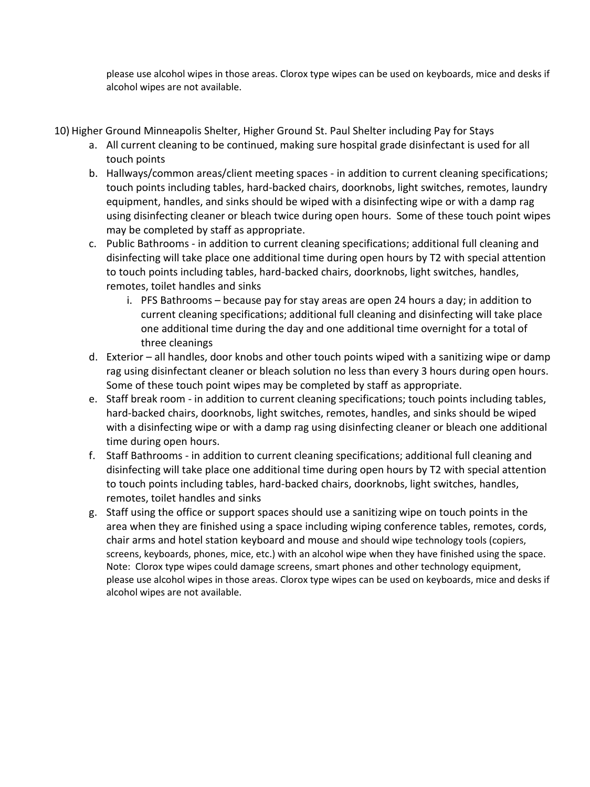please use alcohol wipes in those areas. Clorox type wipes can be used on keyboards, mice and desks if alcohol wipes are not available.

- 10) Higher Ground Minneapolis Shelter, Higher Ground St. Paul Shelter including Pay for Stays
	- a. All current cleaning to be continued, making sure hospital grade disinfectant is used for all touch points
	- b. Hallways/common areas/client meeting spaces in addition to current cleaning specifications; touch points including tables, hard-backed chairs, doorknobs, light switches, remotes, laundry equipment, handles, and sinks should be wiped with a disinfecting wipe or with a damp rag using disinfecting cleaner or bleach twice during open hours. Some of these touch point wipes may be completed by staff as appropriate.
	- c. Public Bathrooms in addition to current cleaning specifications; additional full cleaning and disinfecting will take place one additional time during open hours by T2 with special attention to touch points including tables, hard-backed chairs, doorknobs, light switches, handles, remotes, toilet handles and sinks
		- i. PFS Bathrooms because pay for stay areas are open 24 hours a day; in addition to current cleaning specifications; additional full cleaning and disinfecting will take place one additional time during the day and one additional time overnight for a total of three cleanings
	- d. Exterior all handles, door knobs and other touch points wiped with a sanitizing wipe or damp rag using disinfectant cleaner or bleach solution no less than every 3 hours during open hours. Some of these touch point wipes may be completed by staff as appropriate.
	- e. Staff break room in addition to current cleaning specifications; touch points including tables, hard-backed chairs, doorknobs, light switches, remotes, handles, and sinks should be wiped with a disinfecting wipe or with a damp rag using disinfecting cleaner or bleach one additional time during open hours.
	- f. Staff Bathrooms in addition to current cleaning specifications; additional full cleaning and disinfecting will take place one additional time during open hours by T2 with special attention to touch points including tables, hard-backed chairs, doorknobs, light switches, handles, remotes, toilet handles and sinks
	- g. Staff using the office or support spaces should use a sanitizing wipe on touch points in the area when they are finished using a space including wiping conference tables, remotes, cords, chair arms and hotel station keyboard and mouse and should wipe technology tools (copiers, screens, keyboards, phones, mice, etc.) with an alcohol wipe when they have finished using the space. Note: Clorox type wipes could damage screens, smart phones and other technology equipment, please use alcohol wipes in those areas. Clorox type wipes can be used on keyboards, mice and desks if alcohol wipes are not available.